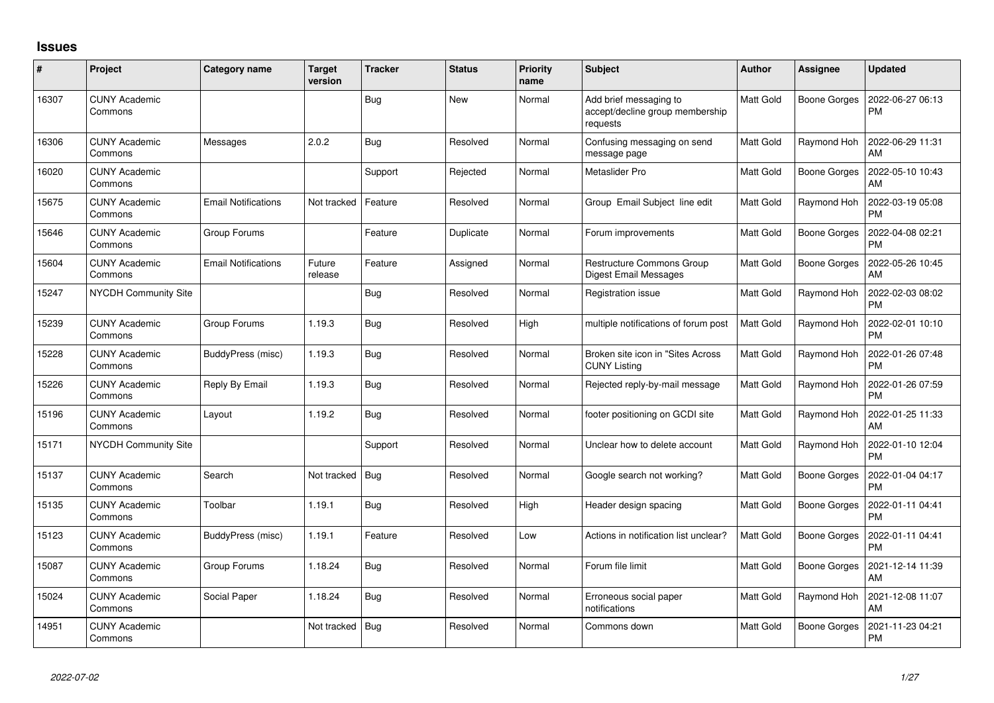## **Issues**

| #     | Project                         | Category name              | <b>Target</b><br>version | <b>Tracker</b> | <b>Status</b> | <b>Priority</b><br>name | <b>Subject</b>                                                        | <b>Author</b>    | <b>Assignee</b>     | <b>Updated</b>                |
|-------|---------------------------------|----------------------------|--------------------------|----------------|---------------|-------------------------|-----------------------------------------------------------------------|------------------|---------------------|-------------------------------|
| 16307 | <b>CUNY Academic</b><br>Commons |                            |                          | Bug            | <b>New</b>    | Normal                  | Add brief messaging to<br>accept/decline group membership<br>requests | <b>Matt Gold</b> | Boone Gorges        | 2022-06-27 06:13<br><b>PM</b> |
| 16306 | <b>CUNY Academic</b><br>Commons | Messages                   | 2.0.2                    | Bug            | Resolved      | Normal                  | Confusing messaging on send<br>message page                           | <b>Matt Gold</b> | Raymond Hoh         | 2022-06-29 11:31<br>AM        |
| 16020 | <b>CUNY Academic</b><br>Commons |                            |                          | Support        | Rejected      | Normal                  | Metaslider Pro                                                        | <b>Matt Gold</b> | <b>Boone Gorges</b> | 2022-05-10 10:43<br>AM        |
| 15675 | <b>CUNY Academic</b><br>Commons | <b>Email Notifications</b> | Not tracked              | Feature        | Resolved      | Normal                  | Group Email Subject line edit                                         | <b>Matt Gold</b> | Raymond Hoh         | 2022-03-19 05:08<br><b>PM</b> |
| 15646 | <b>CUNY Academic</b><br>Commons | Group Forums               |                          | Feature        | Duplicate     | Normal                  | Forum improvements                                                    | Matt Gold        | Boone Gorges        | 2022-04-08 02:21<br><b>PM</b> |
| 15604 | <b>CUNY Academic</b><br>Commons | <b>Email Notifications</b> | Future<br>release        | Feature        | Assigned      | Normal                  | <b>Restructure Commons Group</b><br><b>Digest Email Messages</b>      | Matt Gold        | Boone Gorges        | 2022-05-26 10:45<br>AM        |
| 15247 | NYCDH Community Site            |                            |                          | <b>Bug</b>     | Resolved      | Normal                  | Registration issue                                                    | <b>Matt Gold</b> | Raymond Hoh         | 2022-02-03 08:02<br>PM        |
| 15239 | <b>CUNY Academic</b><br>Commons | Group Forums               | 1.19.3                   | Bug            | Resolved      | High                    | multiple notifications of forum post                                  | <b>Matt Gold</b> | Raymond Hoh         | 2022-02-01 10:10<br><b>PM</b> |
| 15228 | <b>CUNY Academic</b><br>Commons | BuddyPress (misc)          | 1.19.3                   | Bug            | Resolved      | Normal                  | Broken site icon in "Sites Across<br><b>CUNY Listing</b>              | <b>Matt Gold</b> | Raymond Hoh         | 2022-01-26 07:48<br><b>PM</b> |
| 15226 | <b>CUNY Academic</b><br>Commons | Reply By Email             | 1.19.3                   | Bug            | Resolved      | Normal                  | Rejected reply-by-mail message                                        | Matt Gold        | Raymond Hoh         | 2022-01-26 07:59<br><b>PM</b> |
| 15196 | <b>CUNY Academic</b><br>Commons | Layout                     | 1.19.2                   | Bug            | Resolved      | Normal                  | footer positioning on GCDI site                                       | Matt Gold        | Raymond Hoh         | 2022-01-25 11:33<br>AM        |
| 15171 | NYCDH Community Site            |                            |                          | Support        | Resolved      | Normal                  | Unclear how to delete account                                         | <b>Matt Gold</b> | Raymond Hoh         | 2022-01-10 12:04<br><b>PM</b> |
| 15137 | <b>CUNY Academic</b><br>Commons | Search                     | Not tracked              | Bug            | Resolved      | Normal                  | Google search not working?                                            | Matt Gold        | <b>Boone Gorges</b> | 2022-01-04 04:17<br><b>PM</b> |
| 15135 | <b>CUNY Academic</b><br>Commons | Toolbar                    | 1.19.1                   | <b>Bug</b>     | Resolved      | High                    | Header design spacing                                                 | Matt Gold        | <b>Boone Gorges</b> | 2022-01-11 04:41<br><b>PM</b> |
| 15123 | <b>CUNY Academic</b><br>Commons | BuddyPress (misc)          | 1.19.1                   | Feature        | Resolved      | Low                     | Actions in notification list unclear?                                 | <b>Matt Gold</b> | <b>Boone Gorges</b> | 2022-01-11 04:41<br><b>PM</b> |
| 15087 | <b>CUNY Academic</b><br>Commons | Group Forums               | 1.18.24                  | <b>Bug</b>     | Resolved      | Normal                  | Forum file limit                                                      | Matt Gold        | <b>Boone Gorges</b> | 2021-12-14 11:39<br>AM        |
| 15024 | <b>CUNY Academic</b><br>Commons | Social Paper               | 1.18.24                  | <b>Bug</b>     | Resolved      | Normal                  | Erroneous social paper<br>notifications                               | Matt Gold        | Raymond Hoh         | 2021-12-08 11:07<br>AM        |
| 14951 | <b>CUNY Academic</b><br>Commons |                            | Not tracked              | Bug            | Resolved      | Normal                  | Commons down                                                          | <b>Matt Gold</b> | <b>Boone Gorges</b> | 2021-11-23 04:21<br>PM        |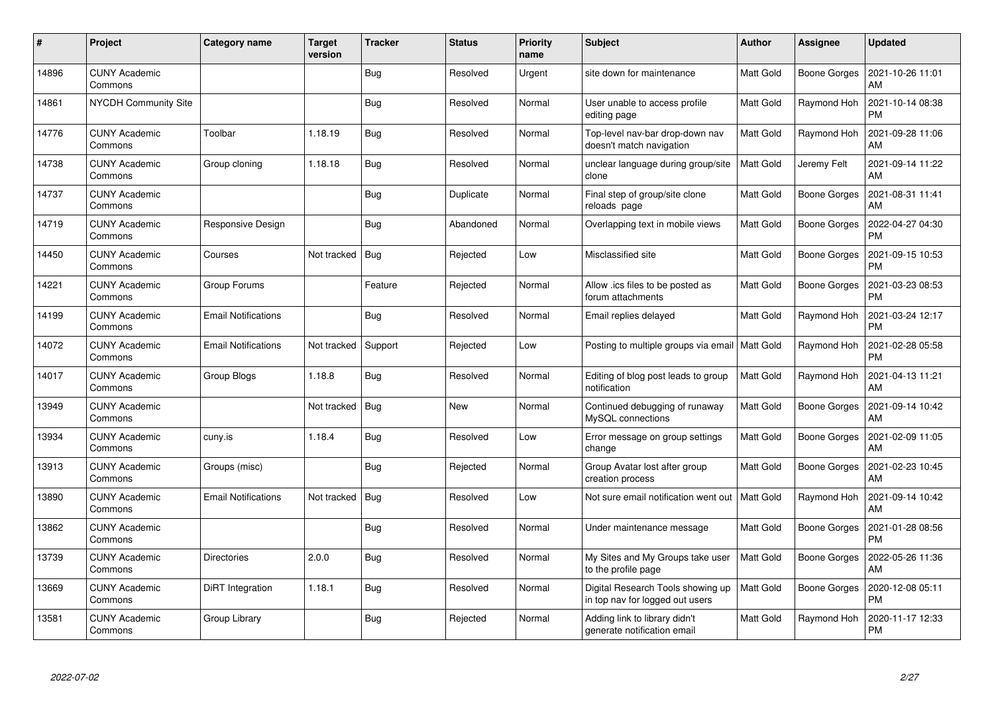| $\pmb{\#}$ | Project                         | Category name              | <b>Target</b><br>version | <b>Tracker</b> | <b>Status</b> | <b>Priority</b><br>name | <b>Subject</b>                                                       | <b>Author</b>    | Assignee            | <b>Updated</b>                |
|------------|---------------------------------|----------------------------|--------------------------|----------------|---------------|-------------------------|----------------------------------------------------------------------|------------------|---------------------|-------------------------------|
| 14896      | <b>CUNY Academic</b><br>Commons |                            |                          | <b>Bug</b>     | Resolved      | Urgent                  | site down for maintenance                                            | <b>Matt Gold</b> | <b>Boone Gorges</b> | 2021-10-26 11:01<br>AM        |
| 14861      | <b>NYCDH Community Site</b>     |                            |                          | Bug            | Resolved      | Normal                  | User unable to access profile<br>editing page                        | <b>Matt Gold</b> | Raymond Hoh         | 2021-10-14 08:38<br><b>PM</b> |
| 14776      | <b>CUNY Academic</b><br>Commons | Toolbar                    | 1.18.19                  | <b>Bug</b>     | Resolved      | Normal                  | Top-level nav-bar drop-down nav<br>doesn't match navigation          | <b>Matt Gold</b> | Raymond Hoh         | 2021-09-28 11:06<br>AM        |
| 14738      | <b>CUNY Academic</b><br>Commons | Group cloning              | 1.18.18                  | <b>Bug</b>     | Resolved      | Normal                  | unclear language during group/site<br>clone                          | Matt Gold        | Jeremy Felt         | 2021-09-14 11:22<br>AM        |
| 14737      | <b>CUNY Academic</b><br>Commons |                            |                          | Bug            | Duplicate     | Normal                  | Final step of group/site clone<br>reloads page                       | <b>Matt Gold</b> | <b>Boone Gorges</b> | 2021-08-31 11:41<br>AM        |
| 14719      | <b>CUNY Academic</b><br>Commons | Responsive Design          |                          | <b>Bug</b>     | Abandoned     | Normal                  | Overlapping text in mobile views                                     | Matt Gold        | <b>Boone Gorges</b> | 2022-04-27 04:30<br><b>PM</b> |
| 14450      | <b>CUNY Academic</b><br>Commons | Courses                    | Not tracked              | <b>Bug</b>     | Rejected      | Low                     | Misclassified site                                                   | Matt Gold        | <b>Boone Gorges</b> | 2021-09-15 10:53<br><b>PM</b> |
| 14221      | <b>CUNY Academic</b><br>Commons | Group Forums               |                          | Feature        | Rejected      | Normal                  | Allow .ics files to be posted as<br>forum attachments                | Matt Gold        | Boone Gorges        | 2021-03-23 08:53<br><b>PM</b> |
| 14199      | <b>CUNY Academic</b><br>Commons | <b>Email Notifications</b> |                          | Bug            | Resolved      | Normal                  | Email replies delayed                                                | <b>Matt Gold</b> | Raymond Hoh         | 2021-03-24 12:17<br><b>PM</b> |
| 14072      | <b>CUNY Academic</b><br>Commons | <b>Email Notifications</b> | Not tracked              | Support        | Rejected      | Low                     | Posting to multiple groups via email   Matt Gold                     |                  | Raymond Hoh         | 2021-02-28 05:58<br><b>PM</b> |
| 14017      | <b>CUNY Academic</b><br>Commons | Group Blogs                | 1.18.8                   | <b>Bug</b>     | Resolved      | Normal                  | Editing of blog post leads to group<br>notification                  | Matt Gold        | Raymond Hoh         | 2021-04-13 11:21<br>AM        |
| 13949      | <b>CUNY Academic</b><br>Commons |                            | Not tracked              | <b>Bug</b>     | New           | Normal                  | Continued debugging of runaway<br>MySQL connections                  | <b>Matt Gold</b> | Boone Gorges        | 2021-09-14 10:42<br>AM        |
| 13934      | <b>CUNY Academic</b><br>Commons | cuny.is                    | 1.18.4                   | Bug            | Resolved      | Low                     | Error message on group settings<br>change                            | Matt Gold        | <b>Boone Gorges</b> | 2021-02-09 11:05<br>AM        |
| 13913      | <b>CUNY Academic</b><br>Commons | Groups (misc)              |                          | <b>Bug</b>     | Rejected      | Normal                  | Group Avatar lost after group<br>creation process                    | Matt Gold        | <b>Boone Gorges</b> | 2021-02-23 10:45<br>AM        |
| 13890      | <b>CUNY Academic</b><br>Commons | <b>Email Notifications</b> | Not tracked              | <b>Bug</b>     | Resolved      | Low                     | Not sure email notification went out                                 | <b>Matt Gold</b> | Raymond Hoh         | 2021-09-14 10:42<br>AM        |
| 13862      | <b>CUNY Academic</b><br>Commons |                            |                          | Bug            | Resolved      | Normal                  | Under maintenance message                                            | <b>Matt Gold</b> | <b>Boone Gorges</b> | 2021-01-28 08:56<br><b>PM</b> |
| 13739      | <b>CUNY Academic</b><br>Commons | <b>Directories</b>         | 2.0.0                    | <b>Bug</b>     | Resolved      | Normal                  | My Sites and My Groups take user<br>to the profile page              | Matt Gold        | Boone Gorges        | 2022-05-26 11:36<br>AM        |
| 13669      | <b>CUNY Academic</b><br>Commons | DiRT Integration           | 1.18.1                   | <b>Bug</b>     | Resolved      | Normal                  | Digital Research Tools showing up<br>in top nav for logged out users | Matt Gold        | <b>Boone Gorges</b> | 2020-12-08 05:11<br><b>PM</b> |
| 13581      | CUNY Academic<br>Commons        | Group Library              |                          | <b>Bug</b>     | Rejected      | Normal                  | Adding link to library didn't<br>generate notification email         | Matt Gold        | Raymond Hoh         | 2020-11-17 12:33<br>PM        |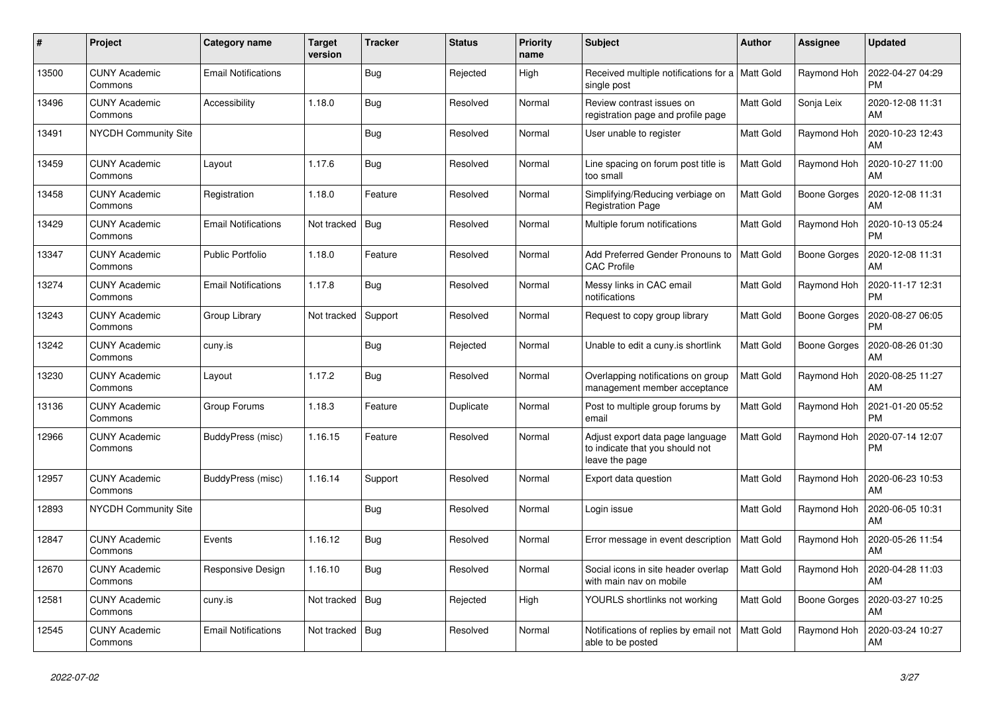| $\pmb{\#}$ | Project                         | Category name              | <b>Target</b><br>version | <b>Tracker</b> | Status    | <b>Priority</b><br>name | <b>Subject</b>                                                                        | Author           | Assignee            | <b>Updated</b>                |
|------------|---------------------------------|----------------------------|--------------------------|----------------|-----------|-------------------------|---------------------------------------------------------------------------------------|------------------|---------------------|-------------------------------|
| 13500      | <b>CUNY Academic</b><br>Commons | <b>Email Notifications</b> |                          | <b>Bug</b>     | Rejected  | High                    | Received multiple notifications for a   Matt Gold<br>single post                      |                  | Raymond Hoh         | 2022-04-27 04:29<br><b>PM</b> |
| 13496      | <b>CUNY Academic</b><br>Commons | <b>Accessibility</b>       | 1.18.0                   | <b>Bug</b>     | Resolved  | Normal                  | Review contrast issues on<br>registration page and profile page                       | Matt Gold        | Sonja Leix          | 2020-12-08 11:31<br>AM        |
| 13491      | NYCDH Community Site            |                            |                          | <b>Bug</b>     | Resolved  | Normal                  | User unable to register                                                               | Matt Gold        | Raymond Hoh         | 2020-10-23 12:43<br>AM        |
| 13459      | <b>CUNY Academic</b><br>Commons | Layout                     | 1.17.6                   | <b>Bug</b>     | Resolved  | Normal                  | Line spacing on forum post title is<br>too small                                      | Matt Gold        | Raymond Hoh         | 2020-10-27 11:00<br>AM        |
| 13458      | <b>CUNY Academic</b><br>Commons | Registration               | 1.18.0                   | Feature        | Resolved  | Normal                  | Simplifying/Reducing verbiage on<br><b>Registration Page</b>                          | <b>Matt Gold</b> | <b>Boone Gorges</b> | 2020-12-08 11:31<br>AM        |
| 13429      | <b>CUNY Academic</b><br>Commons | <b>Email Notifications</b> | Not tracked              | Bug            | Resolved  | Normal                  | Multiple forum notifications                                                          | Matt Gold        | Raymond Hoh         | 2020-10-13 05:24<br><b>PM</b> |
| 13347      | <b>CUNY Academic</b><br>Commons | <b>Public Portfolio</b>    | 1.18.0                   | Feature        | Resolved  | Normal                  | Add Preferred Gender Pronouns to<br><b>CAC Profile</b>                                | <b>Matt Gold</b> | <b>Boone Gorges</b> | 2020-12-08 11:31<br>AM        |
| 13274      | <b>CUNY Academic</b><br>Commons | <b>Email Notifications</b> | 1.17.8                   | <b>Bug</b>     | Resolved  | Normal                  | Messy links in CAC email<br>notifications                                             | Matt Gold        | Raymond Hoh         | 2020-11-17 12:31<br><b>PM</b> |
| 13243      | <b>CUNY Academic</b><br>Commons | Group Library              | Not tracked              | Support        | Resolved  | Normal                  | Request to copy group library                                                         | Matt Gold        | <b>Boone Gorges</b> | 2020-08-27 06:05<br><b>PM</b> |
| 13242      | <b>CUNY Academic</b><br>Commons | cuny.is                    |                          | <b>Bug</b>     | Rejected  | Normal                  | Unable to edit a cuny.is shortlink                                                    | <b>Matt Gold</b> | Boone Gorges        | 2020-08-26 01:30<br>AM        |
| 13230      | <b>CUNY Academic</b><br>Commons | Layout                     | 1.17.2                   | <b>Bug</b>     | Resolved  | Normal                  | Overlapping notifications on group<br>management member acceptance                    | Matt Gold        | Raymond Hoh         | 2020-08-25 11:27<br>AM        |
| 13136      | <b>CUNY Academic</b><br>Commons | Group Forums               | 1.18.3                   | Feature        | Duplicate | Normal                  | Post to multiple group forums by<br>email                                             | Matt Gold        | Raymond Hoh         | 2021-01-20 05:52<br><b>PM</b> |
| 12966      | <b>CUNY Academic</b><br>Commons | BuddyPress (misc)          | 1.16.15                  | Feature        | Resolved  | Normal                  | Adjust export data page language<br>to indicate that you should not<br>leave the page | <b>Matt Gold</b> | Raymond Hoh         | 2020-07-14 12:07<br><b>PM</b> |
| 12957      | <b>CUNY Academic</b><br>Commons | BuddyPress (misc)          | 1.16.14                  | Support        | Resolved  | Normal                  | Export data question                                                                  | Matt Gold        | Raymond Hoh         | 2020-06-23 10:53<br>AM        |
| 12893      | <b>NYCDH Community Site</b>     |                            |                          | Bug            | Resolved  | Normal                  | Login issue                                                                           | <b>Matt Gold</b> | Raymond Hoh         | 2020-06-05 10:31<br>AM        |
| 12847      | <b>CUNY Academic</b><br>Commons | Events                     | 1.16.12                  | Bug            | Resolved  | Normal                  | Error message in event description                                                    | Matt Gold        | Raymond Hoh         | 2020-05-26 11:54<br>AM        |
| 12670      | <b>CUNY Academic</b><br>Commons | Responsive Design          | 1.16.10                  | <b>Bug</b>     | Resolved  | Normal                  | Social icons in site header overlap<br>with main nav on mobile                        | <b>Matt Gold</b> | Raymond Hoh         | 2020-04-28 11:03<br>AM        |
| 12581      | <b>CUNY Academic</b><br>Commons | cuny.is                    | Not tracked              | Bug            | Rejected  | High                    | YOURLS shortlinks not working                                                         | Matt Gold        | Boone Gorges        | 2020-03-27 10:25<br>AM        |
| 12545      | <b>CUNY Academic</b><br>Commons | <b>Email Notifications</b> | Not tracked              | Bug            | Resolved  | Normal                  | Notifications of replies by email not<br>able to be posted                            | Matt Gold        | Raymond Hoh         | 2020-03-24 10:27<br>AM        |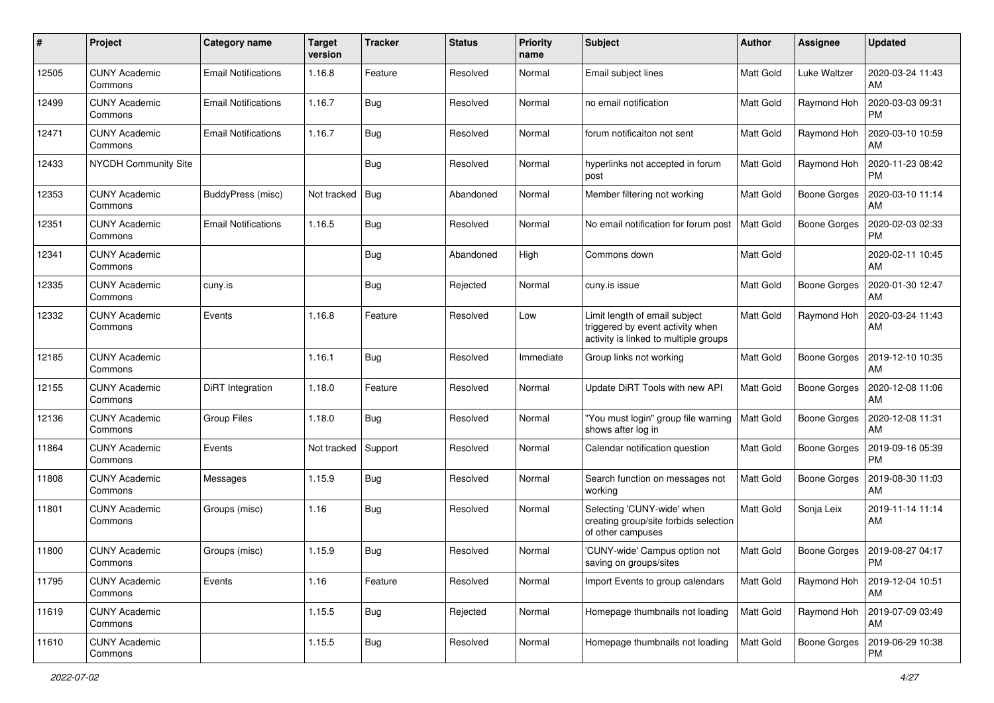| #     | Project                         | <b>Category name</b>       | <b>Target</b><br>version | <b>Tracker</b> | <b>Status</b> | <b>Priority</b><br>name | <b>Subject</b>                                                                                             | Author           | Assignee            | <b>Updated</b>                |
|-------|---------------------------------|----------------------------|--------------------------|----------------|---------------|-------------------------|------------------------------------------------------------------------------------------------------------|------------------|---------------------|-------------------------------|
| 12505 | <b>CUNY Academic</b><br>Commons | <b>Email Notifications</b> | 1.16.8                   | Feature        | Resolved      | Normal                  | Email subject lines                                                                                        | <b>Matt Gold</b> | Luke Waltzer        | 2020-03-24 11:43<br>AM        |
| 12499 | <b>CUNY Academic</b><br>Commons | <b>Email Notifications</b> | 1.16.7                   | Bug            | Resolved      | Normal                  | no email notification                                                                                      | <b>Matt Gold</b> | Raymond Hoh         | 2020-03-03 09:31<br><b>PM</b> |
| 12471 | <b>CUNY Academic</b><br>Commons | <b>Email Notifications</b> | 1.16.7                   | Bug            | Resolved      | Normal                  | forum notificaiton not sent                                                                                | <b>Matt Gold</b> | Raymond Hoh         | 2020-03-10 10:59<br>AM        |
| 12433 | NYCDH Community Site            |                            |                          | Bug            | Resolved      | Normal                  | hyperlinks not accepted in forum<br>post                                                                   | <b>Matt Gold</b> | Raymond Hoh         | 2020-11-23 08:42<br><b>PM</b> |
| 12353 | <b>CUNY Academic</b><br>Commons | BuddyPress (misc)          | Not tracked              | Bug            | Abandoned     | Normal                  | Member filtering not working                                                                               | <b>Matt Gold</b> | <b>Boone Gorges</b> | 2020-03-10 11:14<br>AM        |
| 12351 | <b>CUNY Academic</b><br>Commons | <b>Email Notifications</b> | 1.16.5                   | Bug            | Resolved      | Normal                  | No email notification for forum post                                                                       | <b>Matt Gold</b> | Boone Gorges        | 2020-02-03 02:33<br><b>PM</b> |
| 12341 | <b>CUNY Academic</b><br>Commons |                            |                          | Bug            | Abandoned     | High                    | Commons down                                                                                               | Matt Gold        |                     | 2020-02-11 10:45<br>AM        |
| 12335 | <b>CUNY Academic</b><br>Commons | cuny.is                    |                          | Bug            | Rejected      | Normal                  | cuny.is issue                                                                                              | <b>Matt Gold</b> | <b>Boone Gorges</b> | 2020-01-30 12:47<br>AM        |
| 12332 | <b>CUNY Academic</b><br>Commons | Events                     | 1.16.8                   | Feature        | Resolved      | Low                     | Limit length of email subject<br>triggered by event activity when<br>activity is linked to multiple groups | Matt Gold        | Raymond Hoh         | 2020-03-24 11:43<br>AM        |
| 12185 | <b>CUNY Academic</b><br>Commons |                            | 1.16.1                   | Bug            | Resolved      | Immediate               | Group links not working                                                                                    | Matt Gold        | <b>Boone Gorges</b> | 2019-12-10 10:35<br>AM        |
| 12155 | CUNY Academic<br>Commons        | DiRT Integration           | 1.18.0                   | Feature        | Resolved      | Normal                  | Update DiRT Tools with new API                                                                             | <b>Matt Gold</b> | <b>Boone Gorges</b> | 2020-12-08 11:06<br>AM        |
| 12136 | <b>CUNY Academic</b><br>Commons | <b>Group Files</b>         | 1.18.0                   | Bug            | Resolved      | Normal                  | "You must login" group file warning<br>shows after log in                                                  | <b>Matt Gold</b> | <b>Boone Gorges</b> | 2020-12-08 11:31<br>AM        |
| 11864 | <b>CUNY Academic</b><br>Commons | Events                     | Not tracked              | Support        | Resolved      | Normal                  | Calendar notification question                                                                             | <b>Matt Gold</b> | Boone Gorges        | 2019-09-16 05:39<br><b>PM</b> |
| 11808 | <b>CUNY Academic</b><br>Commons | Messages                   | 1.15.9                   | Bug            | Resolved      | Normal                  | Search function on messages not<br>working                                                                 | Matt Gold        | <b>Boone Gorges</b> | 2019-08-30 11:03<br>AM        |
| 11801 | <b>CUNY Academic</b><br>Commons | Groups (misc)              | 1.16                     | Bug            | Resolved      | Normal                  | Selecting 'CUNY-wide' when<br>creating group/site forbids selection<br>of other campuses                   | Matt Gold        | Sonja Leix          | 2019-11-14 11:14<br>AM        |
| 11800 | <b>CUNY Academic</b><br>Commons | Groups (misc)              | 1.15.9                   | Bug            | Resolved      | Normal                  | 'CUNY-wide' Campus option not<br>saving on groups/sites                                                    | <b>Matt Gold</b> | Boone Gorges        | 2019-08-27 04:17<br>PM        |
| 11795 | <b>CUNY Academic</b><br>Commons | Events                     | 1.16                     | Feature        | Resolved      | Normal                  | Import Events to group calendars                                                                           | Matt Gold        | Raymond Hoh         | 2019-12-04 10:51<br>AM        |
| 11619 | <b>CUNY Academic</b><br>Commons |                            | 1.15.5                   | Bug            | Rejected      | Normal                  | Homepage thumbnails not loading                                                                            | <b>Matt Gold</b> | Raymond Hoh         | 2019-07-09 03:49<br>AM        |
| 11610 | <b>CUNY Academic</b><br>Commons |                            | 1.15.5                   | Bug            | Resolved      | Normal                  | Homepage thumbnails not loading                                                                            | Matt Gold        | <b>Boone Gorges</b> | 2019-06-29 10:38<br>PM        |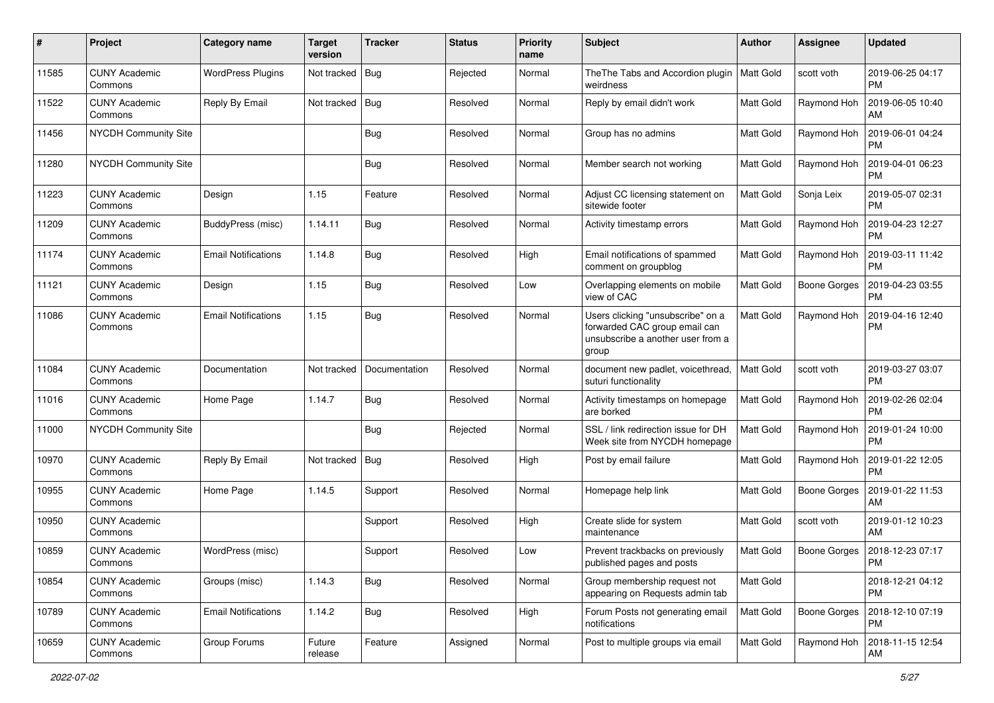| #     | Project                         | <b>Category name</b>       | <b>Target</b><br>version | <b>Tracker</b> | <b>Status</b> | <b>Priority</b><br>name | Subject                                                                                                          | Author           | <b>Assignee</b>     | <b>Updated</b>                |
|-------|---------------------------------|----------------------------|--------------------------|----------------|---------------|-------------------------|------------------------------------------------------------------------------------------------------------------|------------------|---------------------|-------------------------------|
| 11585 | <b>CUNY Academic</b><br>Commons | <b>WordPress Plugins</b>   | Not tracked              | <b>Bug</b>     | Rejected      | Normal                  | The The Tabs and Accordion plugin<br>weirdness                                                                   | Matt Gold        | scott voth          | 2019-06-25 04:17<br><b>PM</b> |
| 11522 | <b>CUNY Academic</b><br>Commons | Reply By Email             | Not tracked              | Bug            | Resolved      | Normal                  | Reply by email didn't work                                                                                       | Matt Gold        | Raymond Hoh         | 2019-06-05 10:40<br>AM        |
| 11456 | <b>NYCDH Community Site</b>     |                            |                          | <b>Bug</b>     | Resolved      | Normal                  | Group has no admins                                                                                              | <b>Matt Gold</b> | Raymond Hoh         | 2019-06-01 04:24<br><b>PM</b> |
| 11280 | <b>NYCDH Community Site</b>     |                            |                          | Bug            | Resolved      | Normal                  | Member search not working                                                                                        | <b>Matt Gold</b> | Raymond Hoh         | 2019-04-01 06:23<br><b>PM</b> |
| 11223 | <b>CUNY Academic</b><br>Commons | Design                     | 1.15                     | Feature        | Resolved      | Normal                  | Adjust CC licensing statement on<br>sitewide footer                                                              | <b>Matt Gold</b> | Sonja Leix          | 2019-05-07 02:31<br><b>PM</b> |
| 11209 | <b>CUNY Academic</b><br>Commons | BuddyPress (misc)          | 1.14.11                  | Bug            | Resolved      | Normal                  | Activity timestamp errors                                                                                        | <b>Matt Gold</b> | Raymond Hoh         | 2019-04-23 12:27<br><b>PM</b> |
| 11174 | <b>CUNY Academic</b><br>Commons | Email Notifications        | 1.14.8                   | <b>Bug</b>     | Resolved      | High                    | Email notifications of spammed<br>comment on groupblog                                                           | Matt Gold        | Raymond Hoh         | 2019-03-11 11:42<br><b>PM</b> |
| 11121 | <b>CUNY Academic</b><br>Commons | Design                     | 1.15                     | <b>Bug</b>     | Resolved      | Low                     | Overlapping elements on mobile<br>view of CAC                                                                    | <b>Matt Gold</b> | <b>Boone Gorges</b> | 2019-04-23 03:55<br><b>PM</b> |
| 11086 | <b>CUNY Academic</b><br>Commons | <b>Email Notifications</b> | 1.15                     | Bug            | Resolved      | Normal                  | Users clicking "unsubscribe" on a<br>forwarded CAC group email can<br>unsubscribe a another user from a<br>group | Matt Gold        | Raymond Hoh         | 2019-04-16 12:40<br><b>PM</b> |
| 11084 | <b>CUNY Academic</b><br>Commons | Documentation              | Not tracked              | Documentation  | Resolved      | Normal                  | document new padlet, voicethread,<br>suturi functionality                                                        | <b>Matt Gold</b> | scott voth          | 2019-03-27 03:07<br><b>PM</b> |
| 11016 | <b>CUNY Academic</b><br>Commons | Home Page                  | 1.14.7                   | Bug            | Resolved      | Normal                  | Activity timestamps on homepage<br>are borked                                                                    | <b>Matt Gold</b> | Raymond Hoh         | 2019-02-26 02:04<br><b>PM</b> |
| 11000 | <b>NYCDH Community Site</b>     |                            |                          | Bug            | Rejected      | Normal                  | SSL / link redirection issue for DH<br>Week site from NYCDH homepage                                             | Matt Gold        | Raymond Hoh         | 2019-01-24 10:00<br><b>PM</b> |
| 10970 | <b>CUNY Academic</b><br>Commons | Reply By Email             | Not tracked              | Bug            | Resolved      | High                    | Post by email failure                                                                                            | <b>Matt Gold</b> | Raymond Hoh         | 2019-01-22 12:05<br><b>PM</b> |
| 10955 | <b>CUNY Academic</b><br>Commons | Home Page                  | 1.14.5                   | Support        | Resolved      | Normal                  | Homepage help link                                                                                               | Matt Gold        | <b>Boone Gorges</b> | 2019-01-22 11:53<br>AM        |
| 10950 | <b>CUNY Academic</b><br>Commons |                            |                          | Support        | Resolved      | High                    | Create slide for system<br>maintenance                                                                           | Matt Gold        | scott voth          | 2019-01-12 10:23<br>AM        |
| 10859 | <b>CUNY Academic</b><br>Commons | WordPress (misc)           |                          | Support        | Resolved      | Low                     | Prevent trackbacks on previously<br>published pages and posts                                                    | Matt Gold        | Boone Gorges        | 2018-12-23 07:17<br>PM        |
| 10854 | <b>CUNY Academic</b><br>Commons | Groups (misc)              | 1.14.3                   | Bug            | Resolved      | Normal                  | Group membership request not<br>appearing on Requests admin tab                                                  | Matt Gold        |                     | 2018-12-21 04:12<br><b>PM</b> |
| 10789 | <b>CUNY Academic</b><br>Commons | <b>Email Notifications</b> | 1.14.2                   | Bug            | Resolved      | High                    | Forum Posts not generating email<br>notifications                                                                | Matt Gold        | <b>Boone Gorges</b> | 2018-12-10 07:19<br>PM        |
| 10659 | <b>CUNY Academic</b><br>Commons | Group Forums               | Future<br>release        | Feature        | Assigned      | Normal                  | Post to multiple groups via email                                                                                | Matt Gold        | Raymond Hoh         | 2018-11-15 12:54<br>AM        |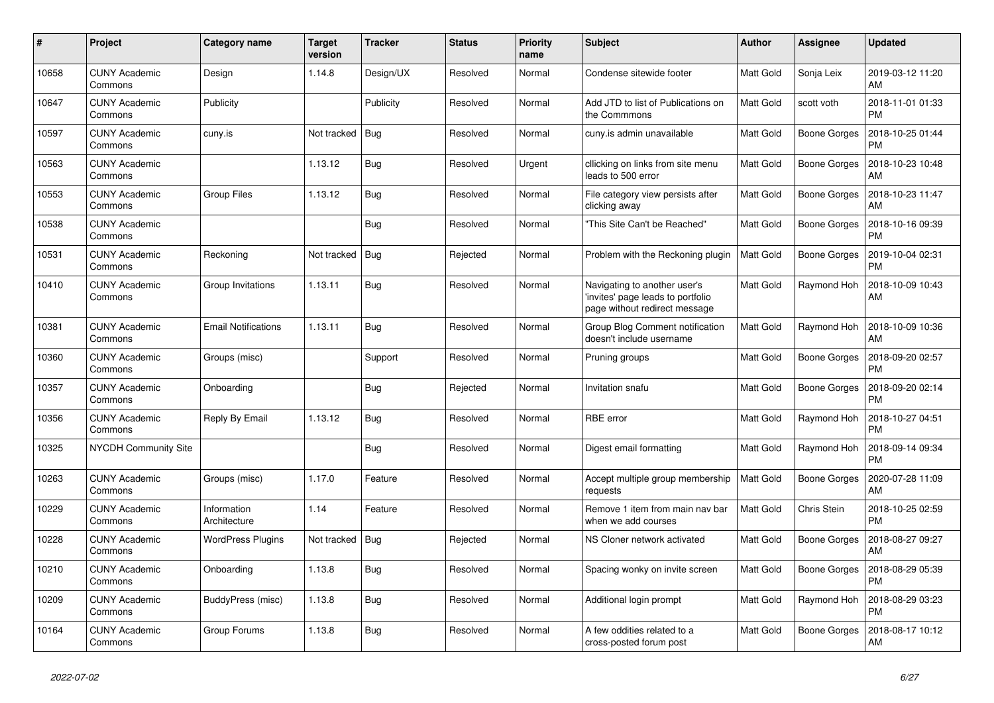| $\#$  | Project                         | Category name               | <b>Target</b><br>version | <b>Tracker</b> | <b>Status</b> | <b>Priority</b><br>name | <b>Subject</b>                                                                                     | <b>Author</b> | <b>Assignee</b> | Updated                       |
|-------|---------------------------------|-----------------------------|--------------------------|----------------|---------------|-------------------------|----------------------------------------------------------------------------------------------------|---------------|-----------------|-------------------------------|
| 10658 | <b>CUNY Academic</b><br>Commons | Design                      | 1.14.8                   | Design/UX      | Resolved      | Normal                  | Condense sitewide footer                                                                           | Matt Gold     | Sonja Leix      | 2019-03-12 11:20<br>AM        |
| 10647 | <b>CUNY Academic</b><br>Commons | Publicity                   |                          | Publicity      | Resolved      | Normal                  | Add JTD to list of Publications on<br>the Commmons                                                 | Matt Gold     | scott voth      | 2018-11-01 01:33<br><b>PM</b> |
| 10597 | <b>CUNY Academic</b><br>Commons | cuny.is                     | Not tracked              | Bug            | Resolved      | Normal                  | cuny.is admin unavailable                                                                          | Matt Gold     | Boone Gorges    | 2018-10-25 01:44<br>PM        |
| 10563 | <b>CUNY Academic</b><br>Commons |                             | 1.13.12                  | <b>Bug</b>     | Resolved      | Urgent                  | cllicking on links from site menu<br>leads to 500 error                                            | Matt Gold     | Boone Gorges    | 2018-10-23 10:48<br>AM        |
| 10553 | <b>CUNY Academic</b><br>Commons | <b>Group Files</b>          | 1.13.12                  | Bug            | Resolved      | Normal                  | File category view persists after<br>clicking away                                                 | Matt Gold     | Boone Gorges    | 2018-10-23 11:47<br>AM        |
| 10538 | <b>CUNY Academic</b><br>Commons |                             |                          | Bug            | Resolved      | Normal                  | 'This Site Can't be Reached"                                                                       | Matt Gold     | Boone Gorges    | 2018-10-16 09:39<br><b>PM</b> |
| 10531 | <b>CUNY Academic</b><br>Commons | Reckoning                   | Not tracked              | Bug            | Rejected      | Normal                  | Problem with the Reckoning plugin                                                                  | Matt Gold     | Boone Gorges    | 2019-10-04 02:31<br><b>PM</b> |
| 10410 | <b>CUNY Academic</b><br>Commons | Group Invitations           | 1.13.11                  | <b>Bug</b>     | Resolved      | Normal                  | Navigating to another user's<br>'invites' page leads to portfolio<br>page without redirect message | Matt Gold     | Raymond Hoh     | 2018-10-09 10:43<br>AM        |
| 10381 | <b>CUNY Academic</b><br>Commons | <b>Email Notifications</b>  | 1.13.11                  | <b>Bug</b>     | Resolved      | Normal                  | Group Blog Comment notification<br>doesn't include username                                        | Matt Gold     | Raymond Hoh     | 2018-10-09 10:36<br>AM        |
| 10360 | <b>CUNY Academic</b><br>Commons | Groups (misc)               |                          | Support        | Resolved      | Normal                  | Pruning groups                                                                                     | Matt Gold     | Boone Gorges    | 2018-09-20 02:57<br><b>PM</b> |
| 10357 | <b>CUNY Academic</b><br>Commons | Onboarding                  |                          | Bug            | Rejected      | Normal                  | Invitation snafu                                                                                   | Matt Gold     | Boone Gorges    | 2018-09-20 02:14<br><b>PM</b> |
| 10356 | <b>CUNY Academic</b><br>Commons | Reply By Email              | 1.13.12                  | Bug            | Resolved      | Normal                  | RBE error                                                                                          | Matt Gold     | Raymond Hoh     | 2018-10-27 04:51<br><b>PM</b> |
| 10325 | NYCDH Community Site            |                             |                          | <b>Bug</b>     | Resolved      | Normal                  | Digest email formatting                                                                            | Matt Gold     | Raymond Hoh     | 2018-09-14 09:34<br><b>PM</b> |
| 10263 | <b>CUNY Academic</b><br>Commons | Groups (misc)               | 1.17.0                   | Feature        | Resolved      | Normal                  | Accept multiple group membership<br>requests                                                       | Matt Gold     | Boone Gorges    | 2020-07-28 11:09<br>AM        |
| 10229 | <b>CUNY Academic</b><br>Commons | Information<br>Architecture | 1.14                     | Feature        | Resolved      | Normal                  | Remove 1 item from main nav bar<br>when we add courses                                             | Matt Gold     | Chris Stein     | 2018-10-25 02:59<br><b>PM</b> |
| 10228 | <b>CUNY Academic</b><br>Commons | <b>WordPress Plugins</b>    | Not tracked              | <b>Bug</b>     | Rejected      | Normal                  | NS Cloner network activated                                                                        | Matt Gold     | Boone Gorges    | 2018-08-27 09:27<br>AM        |
| 10210 | <b>CUNY Academic</b><br>Commons | Onboarding                  | 1.13.8                   | Bug            | Resolved      | Normal                  | Spacing wonky on invite screen                                                                     | Matt Gold     | Boone Gorges    | 2018-08-29 05:39<br><b>PM</b> |
| 10209 | <b>CUNY Academic</b><br>Commons | BuddyPress (misc)           | 1.13.8                   | <b>Bug</b>     | Resolved      | Normal                  | Additional login prompt                                                                            | Matt Gold     | Raymond Hoh     | 2018-08-29 03:23<br><b>PM</b> |
| 10164 | <b>CUNY Academic</b><br>Commons | Group Forums                | 1.13.8                   | <b>Bug</b>     | Resolved      | Normal                  | A few oddities related to a<br>cross-posted forum post                                             | Matt Gold     | Boone Gorges    | 2018-08-17 10:12<br>AM        |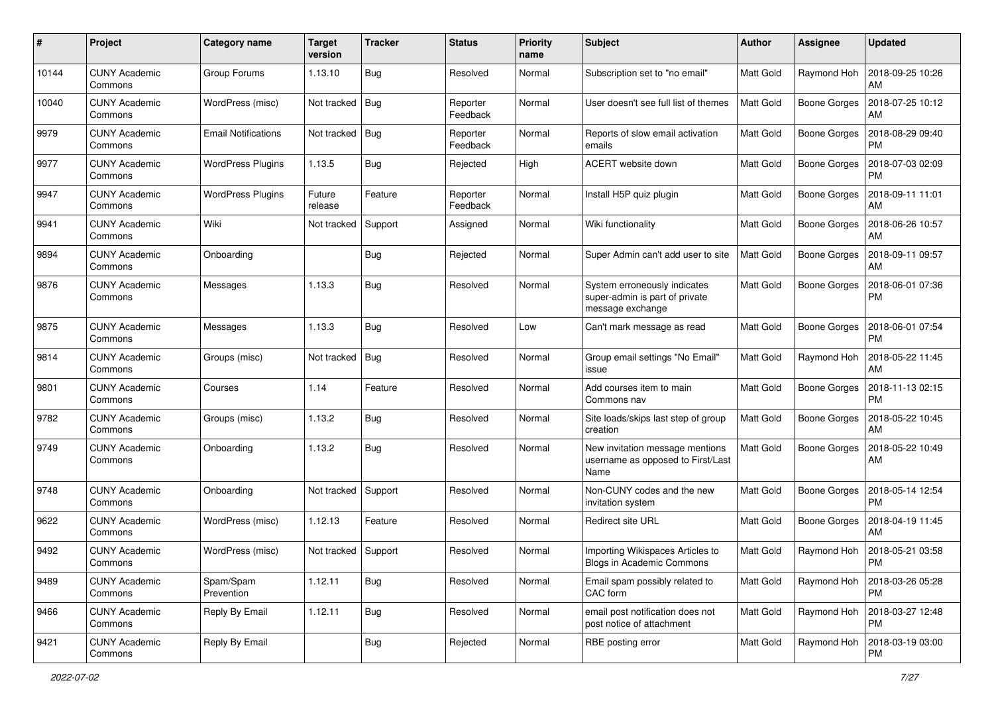| #     | Project                         | Category name              | <b>Target</b><br>version | <b>Tracker</b> | <b>Status</b>        | <b>Priority</b><br>name | <b>Subject</b>                                                                     | Author           | <b>Assignee</b>     | <b>Updated</b>                |
|-------|---------------------------------|----------------------------|--------------------------|----------------|----------------------|-------------------------|------------------------------------------------------------------------------------|------------------|---------------------|-------------------------------|
| 10144 | <b>CUNY Academic</b><br>Commons | Group Forums               | 1.13.10                  | Bug            | Resolved             | Normal                  | Subscription set to "no email"                                                     | <b>Matt Gold</b> | Raymond Hoh         | 2018-09-25 10:26<br>AM        |
| 10040 | <b>CUNY Academic</b><br>Commons | WordPress (misc)           | Not tracked              | Bug            | Reporter<br>Feedback | Normal                  | User doesn't see full list of themes                                               | <b>Matt Gold</b> | <b>Boone Gorges</b> | 2018-07-25 10:12<br>AM        |
| 9979  | CUNY Academic<br>Commons        | <b>Email Notifications</b> | Not tracked              | <b>Bug</b>     | Reporter<br>Feedback | Normal                  | Reports of slow email activation<br>emails                                         | <b>Matt Gold</b> | <b>Boone Gorges</b> | 2018-08-29 09:40<br><b>PM</b> |
| 9977  | <b>CUNY Academic</b><br>Commons | <b>WordPress Plugins</b>   | 1.13.5                   | Bug            | Rejected             | High                    | ACERT website down                                                                 | <b>Matt Gold</b> | <b>Boone Gorges</b> | 2018-07-03 02:09<br><b>PM</b> |
| 9947  | <b>CUNY Academic</b><br>Commons | <b>WordPress Plugins</b>   | Future<br>release        | Feature        | Reporter<br>Feedback | Normal                  | Install H5P quiz plugin                                                            | Matt Gold        | <b>Boone Gorges</b> | 2018-09-11 11:01<br>AM        |
| 9941  | <b>CUNY Academic</b><br>Commons | Wiki                       | Not tracked              | Support        | Assigned             | Normal                  | Wiki functionality                                                                 | Matt Gold        | <b>Boone Gorges</b> | 2018-06-26 10:57<br>AM        |
| 9894  | <b>CUNY Academic</b><br>Commons | Onboarding                 |                          | Bug            | Rejected             | Normal                  | Super Admin can't add user to site                                                 | <b>Matt Gold</b> | Boone Gorges        | 2018-09-11 09:57<br>AM        |
| 9876  | <b>CUNY Academic</b><br>Commons | Messages                   | 1.13.3                   | Bug            | Resolved             | Normal                  | System erroneously indicates<br>super-admin is part of private<br>message exchange | Matt Gold        | <b>Boone Gorges</b> | 2018-06-01 07:36<br>PM        |
| 9875  | <b>CUNY Academic</b><br>Commons | Messages                   | 1.13.3                   | <b>Bug</b>     | Resolved             | Low                     | Can't mark message as read                                                         | <b>Matt Gold</b> | Boone Gorges        | 2018-06-01 07:54<br><b>PM</b> |
| 9814  | <b>CUNY Academic</b><br>Commons | Groups (misc)              | Not tracked              | Bug            | Resolved             | Normal                  | Group email settings "No Email"<br>issue                                           | Matt Gold        | Raymond Hoh         | 2018-05-22 11:45<br>AM        |
| 9801  | <b>CUNY Academic</b><br>Commons | Courses                    | 1.14                     | Feature        | Resolved             | Normal                  | Add courses item to main<br>Commons nav                                            | Matt Gold        | Boone Gorges        | 2018-11-13 02:15<br><b>PM</b> |
| 9782  | <b>CUNY Academic</b><br>Commons | Groups (misc)              | 1.13.2                   | Bug            | Resolved             | Normal                  | Site loads/skips last step of group<br>creation                                    | Matt Gold        | <b>Boone Gorges</b> | 2018-05-22 10:45<br>AM        |
| 9749  | <b>CUNY Academic</b><br>Commons | Onboarding                 | 1.13.2                   | Bug            | Resolved             | Normal                  | New invitation message mentions<br>username as opposed to First/Last<br>Name       | <b>Matt Gold</b> | Boone Gorges        | 2018-05-22 10:49<br>AM        |
| 9748  | <b>CUNY Academic</b><br>Commons | Onboarding                 | Not tracked              | Support        | Resolved             | Normal                  | Non-CUNY codes and the new<br>invitation system                                    | <b>Matt Gold</b> | Boone Gorges        | 2018-05-14 12:54<br><b>PM</b> |
| 9622  | <b>CUNY Academic</b><br>Commons | WordPress (misc)           | 1.12.13                  | Feature        | Resolved             | Normal                  | <b>Redirect site URL</b>                                                           | Matt Gold        | <b>Boone Gorges</b> | 2018-04-19 11:45<br>AM        |
| 9492  | <b>CUNY Academic</b><br>Commons | WordPress (misc)           | Not tracked              | Support        | Resolved             | Normal                  | Importing Wikispaces Articles to<br><b>Blogs in Academic Commons</b>               | Matt Gold        | Raymond Hoh         | 2018-05-21 03:58<br>PM        |
| 9489  | <b>CUNY Academic</b><br>Commons | Spam/Spam<br>Prevention    | 1.12.11                  | Bug            | Resolved             | Normal                  | Email spam possibly related to<br>CAC form                                         | Matt Gold        | Raymond Hoh         | 2018-03-26 05:28<br>PM        |
| 9466  | <b>CUNY Academic</b><br>Commons | Reply By Email             | 1.12.11                  | <b>Bug</b>     | Resolved             | Normal                  | email post notification does not<br>post notice of attachment                      | Matt Gold        | Raymond Hoh         | 2018-03-27 12:48<br><b>PM</b> |
| 9421  | <b>CUNY Academic</b><br>Commons | Reply By Email             |                          | <b>Bug</b>     | Rejected             | Normal                  | RBE posting error                                                                  | Matt Gold        | Raymond Hoh         | 2018-03-19 03:00<br>PM        |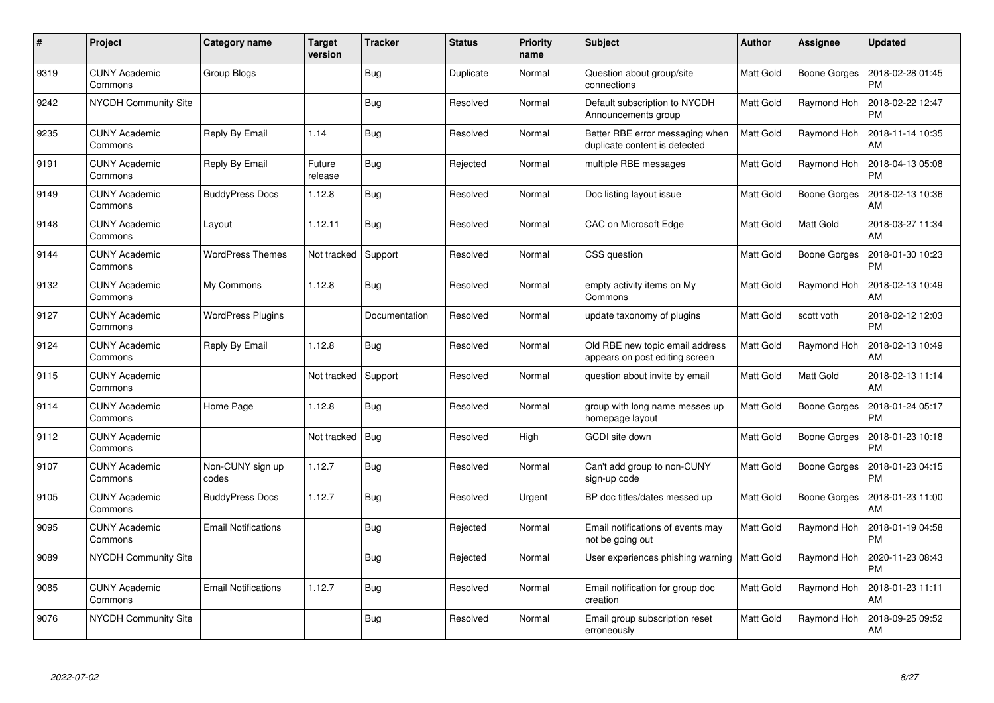| $\#$ | Project                         | Category name              | <b>Target</b><br>version | <b>Tracker</b> | <b>Status</b> | <b>Priority</b><br>name | <b>Subject</b>                                                    | <b>Author</b>    | <b>Assignee</b>     | <b>Updated</b>                |
|------|---------------------------------|----------------------------|--------------------------|----------------|---------------|-------------------------|-------------------------------------------------------------------|------------------|---------------------|-------------------------------|
| 9319 | <b>CUNY Academic</b><br>Commons | Group Blogs                |                          | <b>Bug</b>     | Duplicate     | Normal                  | Question about group/site<br>connections                          | Matt Gold        | <b>Boone Gorges</b> | 2018-02-28 01:45<br><b>PM</b> |
| 9242 | <b>NYCDH Community Site</b>     |                            |                          | Bug            | Resolved      | Normal                  | Default subscription to NYCDH<br>Announcements group              | Matt Gold        | Raymond Hoh         | 2018-02-22 12:47<br><b>PM</b> |
| 9235 | <b>CUNY Academic</b><br>Commons | Reply By Email             | 1.14                     | <b>Bug</b>     | Resolved      | Normal                  | Better RBE error messaging when<br>duplicate content is detected  | <b>Matt Gold</b> | Raymond Hoh         | 2018-11-14 10:35<br>AM        |
| 9191 | <b>CUNY Academic</b><br>Commons | Reply By Email             | Future<br>release        | <b>Bug</b>     | Rejected      | Normal                  | multiple RBE messages                                             | Matt Gold        | Raymond Hoh         | 2018-04-13 05:08<br><b>PM</b> |
| 9149 | <b>CUNY Academic</b><br>Commons | <b>BuddyPress Docs</b>     | 1.12.8                   | <b>Bug</b>     | Resolved      | Normal                  | Doc listing layout issue                                          | Matt Gold        | <b>Boone Gorges</b> | 2018-02-13 10:36<br>AM        |
| 9148 | <b>CUNY Academic</b><br>Commons | Layout                     | 1.12.11                  | Bug            | Resolved      | Normal                  | CAC on Microsoft Edge                                             | Matt Gold        | Matt Gold           | 2018-03-27 11:34<br>AM        |
| 9144 | <b>CUNY Academic</b><br>Commons | <b>WordPress Themes</b>    | Not tracked              | Support        | Resolved      | Normal                  | CSS question                                                      | <b>Matt Gold</b> | <b>Boone Gorges</b> | 2018-01-30 10:23<br><b>PM</b> |
| 9132 | <b>CUNY Academic</b><br>Commons | My Commons                 | 1.12.8                   | Bug            | Resolved      | Normal                  | empty activity items on My<br>Commons                             | Matt Gold        | Raymond Hoh         | 2018-02-13 10:49<br>AM        |
| 9127 | <b>CUNY Academic</b><br>Commons | <b>WordPress Plugins</b>   |                          | Documentation  | Resolved      | Normal                  | update taxonomy of plugins                                        | <b>Matt Gold</b> | scott voth          | 2018-02-12 12:03<br><b>PM</b> |
| 9124 | <b>CUNY Academic</b><br>Commons | Reply By Email             | 1.12.8                   | <b>Bug</b>     | Resolved      | Normal                  | Old RBE new topic email address<br>appears on post editing screen | Matt Gold        | Raymond Hoh         | 2018-02-13 10:49<br>AM        |
| 9115 | <b>CUNY Academic</b><br>Commons |                            | Not tracked              | Support        | Resolved      | Normal                  | question about invite by email                                    | Matt Gold        | Matt Gold           | 2018-02-13 11:14<br>AM        |
| 9114 | <b>CUNY Academic</b><br>Commons | Home Page                  | 1.12.8                   | Bug            | Resolved      | Normal                  | group with long name messes up<br>homepage layout                 | Matt Gold        | Boone Gorges        | 2018-01-24 05:17<br><b>PM</b> |
| 9112 | <b>CUNY Academic</b><br>Commons |                            | Not tracked              | Bug            | Resolved      | High                    | GCDI site down                                                    | Matt Gold        | Boone Gorges        | 2018-01-23 10:18<br><b>PM</b> |
| 9107 | <b>CUNY Academic</b><br>Commons | Non-CUNY sign up<br>codes  | 1.12.7                   | Bug            | Resolved      | Normal                  | Can't add group to non-CUNY<br>sign-up code                       | Matt Gold        | <b>Boone Gorges</b> | 2018-01-23 04:15<br><b>PM</b> |
| 9105 | <b>CUNY Academic</b><br>Commons | <b>BuddyPress Docs</b>     | 1.12.7                   | Bug            | Resolved      | Urgent                  | BP doc titles/dates messed up                                     | Matt Gold        | Boone Gorges        | 2018-01-23 11:00<br>AM        |
| 9095 | <b>CUNY Academic</b><br>Commons | <b>Email Notifications</b> |                          | <b>Bug</b>     | Rejected      | Normal                  | Email notifications of events may<br>not be going out             | Matt Gold        | Raymond Hoh         | 2018-01-19 04:58<br><b>PM</b> |
| 9089 | <b>NYCDH Community Site</b>     |                            |                          | Bug            | Rejected      | Normal                  | User experiences phishing warning                                 | <b>Matt Gold</b> | Raymond Hoh         | 2020-11-23 08:43<br><b>PM</b> |
| 9085 | <b>CUNY Academic</b><br>Commons | <b>Email Notifications</b> | 1.12.7                   | Bug            | Resolved      | Normal                  | Email notification for group doc<br>creation                      | Matt Gold        | Raymond Hoh         | 2018-01-23 11:11<br>AM        |
| 9076 | <b>NYCDH Community Site</b>     |                            |                          | <b>Bug</b>     | Resolved      | Normal                  | Email group subscription reset<br>erroneously                     | Matt Gold        | Raymond Hoh         | 2018-09-25 09:52<br>AM        |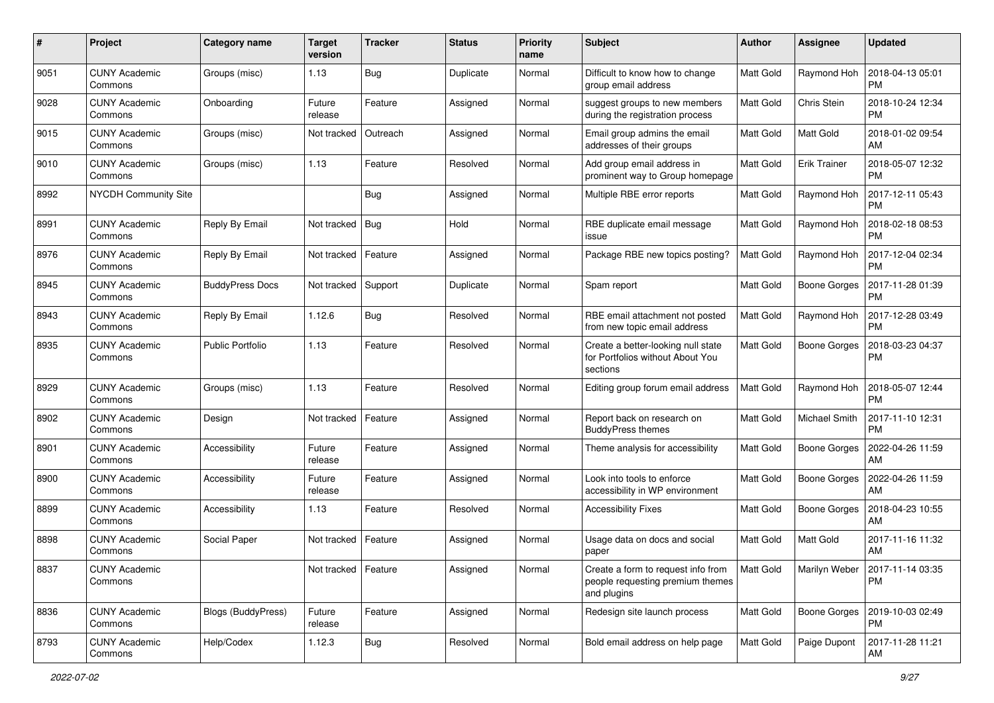| #    | Project                         | <b>Category name</b>    | <b>Target</b><br>version | <b>Tracker</b> | <b>Status</b> | <b>Priority</b><br>name | <b>Subject</b>                                                                        | Author           | <b>Assignee</b>     | <b>Updated</b>                                |
|------|---------------------------------|-------------------------|--------------------------|----------------|---------------|-------------------------|---------------------------------------------------------------------------------------|------------------|---------------------|-----------------------------------------------|
| 9051 | <b>CUNY Academic</b><br>Commons | Groups (misc)           | 1.13                     | Bug            | Duplicate     | Normal                  | Difficult to know how to change<br>group email address                                | <b>Matt Gold</b> | Raymond Hoh         | 2018-04-13 05:01<br><b>PM</b>                 |
| 9028 | <b>CUNY Academic</b><br>Commons | Onboarding              | Future<br>release        | Feature        | Assigned      | Normal                  | suggest groups to new members<br>during the registration process                      | Matt Gold        | Chris Stein         | 2018-10-24 12:34<br><b>PM</b>                 |
| 9015 | CUNY Academic<br>Commons        | Groups (misc)           | Not tracked              | Outreach       | Assigned      | Normal                  | Email group admins the email<br>addresses of their groups                             | Matt Gold        | Matt Gold           | 2018-01-02 09:54<br>AM                        |
| 9010 | <b>CUNY Academic</b><br>Commons | Groups (misc)           | 1.13                     | Feature        | Resolved      | Normal                  | Add group email address in<br>prominent way to Group homepage                         | <b>Matt Gold</b> | <b>Erik Trainer</b> | 2018-05-07 12:32<br><b>PM</b>                 |
| 8992 | NYCDH Community Site            |                         |                          | Bug            | Assigned      | Normal                  | Multiple RBE error reports                                                            | <b>Matt Gold</b> | Raymond Hoh         | 2017-12-11 05:43<br><b>PM</b>                 |
| 8991 | <b>CUNY Academic</b><br>Commons | Reply By Email          | Not tracked              | Bug            | Hold          | Normal                  | RBE duplicate email message<br>issue                                                  | Matt Gold        | Raymond Hoh         | 2018-02-18 08:53<br><b>PM</b>                 |
| 8976 | <b>CUNY Academic</b><br>Commons | Reply By Email          | Not tracked              | Feature        | Assigned      | Normal                  | Package RBE new topics posting?                                                       | <b>Matt Gold</b> | Raymond Hoh         | 2017-12-04 02:34<br><b>PM</b>                 |
| 8945 | <b>CUNY Academic</b><br>Commons | <b>BuddyPress Docs</b>  | Not tracked              | Support        | Duplicate     | Normal                  | Spam report                                                                           | <b>Matt Gold</b> | <b>Boone Gorges</b> | 2017-11-28 01:39<br><b>PM</b>                 |
| 8943 | <b>CUNY Academic</b><br>Commons | Reply By Email          | 1.12.6                   | Bug            | Resolved      | Normal                  | RBE email attachment not posted<br>from new topic email address                       | Matt Gold        | Raymond Hoh         | 2017-12-28 03:49<br><b>PM</b>                 |
| 8935 | <b>CUNY Academic</b><br>Commons | <b>Public Portfolio</b> | 1.13                     | Feature        | Resolved      | Normal                  | Create a better-looking null state<br>for Portfolios without About You<br>sections    | <b>Matt Gold</b> | <b>Boone Gorges</b> | 2018-03-23 04:37<br><b>PM</b>                 |
| 8929 | <b>CUNY Academic</b><br>Commons | Groups (misc)           | 1.13                     | Feature        | Resolved      | Normal                  | Editing group forum email address                                                     | <b>Matt Gold</b> | Raymond Hoh         | 2018-05-07 12:44<br><b>PM</b>                 |
| 8902 | <b>CUNY Academic</b><br>Commons | Design                  | Not tracked              | Feature        | Assigned      | Normal                  | Report back on research on<br><b>BuddyPress themes</b>                                | <b>Matt Gold</b> | Michael Smith       | 2017-11-10 12:31<br><b>PM</b>                 |
| 8901 | <b>CUNY Academic</b><br>Commons | Accessibility           | Future<br>release        | Feature        | Assigned      | Normal                  | Theme analysis for accessibility                                                      | <b>Matt Gold</b> | <b>Boone Gorges</b> | 2022-04-26 11:59<br>AM                        |
| 8900 | <b>CUNY Academic</b><br>Commons | Accessibility           | Future<br>release        | Feature        | Assigned      | Normal                  | Look into tools to enforce<br>accessibility in WP environment                         | Matt Gold        | Boone Gorges        | 2022-04-26 11:59<br>AM                        |
| 8899 | <b>CUNY Academic</b><br>Commons | Accessibility           | 1.13                     | Feature        | Resolved      | Normal                  | <b>Accessibility Fixes</b>                                                            | <b>Matt Gold</b> | <b>Boone Gorges</b> | 2018-04-23 10:55<br>AM                        |
| 8898 | <b>CUNY Academic</b><br>Commons | Social Paper            | Not tracked              | Feature        | Assigned      | Normal                  | Usage data on docs and social<br>paper                                                | <b>Matt Gold</b> | Matt Gold           | 2017-11-16 11:32<br>AM                        |
| 8837 | <b>CUNY Academic</b><br>Commons |                         | Not tracked   Feature    |                | Assigned      | Normal                  | Create a form to request info from<br>people requesting premium themes<br>and plugins | Matt Gold        |                     | Marilyn Weber   2017-11-14 03:35<br><b>PM</b> |
| 8836 | <b>CUNY Academic</b><br>Commons | Blogs (BuddyPress)      | Future<br>release        | Feature        | Assigned      | Normal                  | Redesign site launch process                                                          | Matt Gold        | Boone Gorges        | 2019-10-03 02:49<br><b>PM</b>                 |
| 8793 | <b>CUNY Academic</b><br>Commons | Help/Codex              | 1.12.3                   | Bug            | Resolved      | Normal                  | Bold email address on help page                                                       | Matt Gold        | Paige Dupont        | 2017-11-28 11:21<br>AM                        |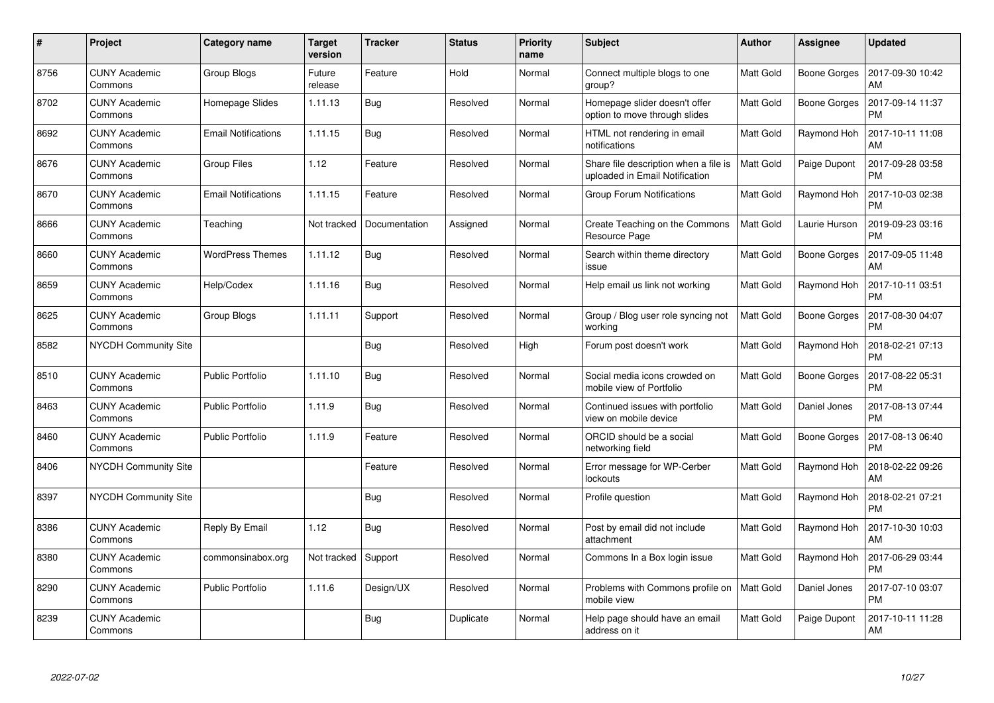| $\#$ | Project                         | Category name              | <b>Target</b><br>version | <b>Tracker</b> | <b>Status</b> | <b>Priority</b><br>name | <b>Subject</b>                                                          | Author           | Assignee            | <b>Updated</b>                |
|------|---------------------------------|----------------------------|--------------------------|----------------|---------------|-------------------------|-------------------------------------------------------------------------|------------------|---------------------|-------------------------------|
| 8756 | <b>CUNY Academic</b><br>Commons | Group Blogs                | Future<br>release        | Feature        | Hold          | Normal                  | Connect multiple blogs to one<br>group?                                 | Matt Gold        | <b>Boone Gorges</b> | 2017-09-30 10:42<br>AM        |
| 8702 | <b>CUNY Academic</b><br>Commons | Homepage Slides            | 1.11.13                  | Bug            | Resolved      | Normal                  | Homepage slider doesn't offer<br>option to move through slides          | Matt Gold        | <b>Boone Gorges</b> | 2017-09-14 11:37<br><b>PM</b> |
| 8692 | <b>CUNY Academic</b><br>Commons | <b>Email Notifications</b> | 1.11.15                  | Bug            | Resolved      | Normal                  | HTML not rendering in email<br>notifications                            | <b>Matt Gold</b> | Raymond Hoh         | 2017-10-11 11:08<br>AM        |
| 8676 | <b>CUNY Academic</b><br>Commons | <b>Group Files</b>         | 1.12                     | Feature        | Resolved      | Normal                  | Share file description when a file is<br>uploaded in Email Notification | Matt Gold        | Paige Dupont        | 2017-09-28 03:58<br><b>PM</b> |
| 8670 | <b>CUNY Academic</b><br>Commons | <b>Email Notifications</b> | 1.11.15                  | Feature        | Resolved      | Normal                  | <b>Group Forum Notifications</b>                                        | Matt Gold        | Raymond Hoh         | 2017-10-03 02:38<br><b>PM</b> |
| 8666 | <b>CUNY Academic</b><br>Commons | Teaching                   | Not tracked              | Documentation  | Assigned      | Normal                  | Create Teaching on the Commons<br>Resource Page                         | <b>Matt Gold</b> | Laurie Hurson       | 2019-09-23 03:16<br><b>PM</b> |
| 8660 | <b>CUNY Academic</b><br>Commons | <b>WordPress Themes</b>    | 1.11.12                  | <b>Bug</b>     | Resolved      | Normal                  | Search within theme directory<br>issue                                  | Matt Gold        | Boone Gorges        | 2017-09-05 11:48<br>AM        |
| 8659 | <b>CUNY Academic</b><br>Commons | Help/Codex                 | 1.11.16                  | Bug            | Resolved      | Normal                  | Help email us link not working                                          | Matt Gold        | Raymond Hoh         | 2017-10-11 03:51<br><b>PM</b> |
| 8625 | <b>CUNY Academic</b><br>Commons | Group Blogs                | 1.11.11                  | Support        | Resolved      | Normal                  | Group / Blog user role syncing not<br>working                           | Matt Gold        | <b>Boone Gorges</b> | 2017-08-30 04:07<br><b>PM</b> |
| 8582 | <b>NYCDH Community Site</b>     |                            |                          | <b>Bug</b>     | Resolved      | High                    | Forum post doesn't work                                                 | Matt Gold        | Raymond Hoh         | 2018-02-21 07:13<br><b>PM</b> |
| 8510 | <b>CUNY Academic</b><br>Commons | <b>Public Portfolio</b>    | 1.11.10                  | <b>Bug</b>     | Resolved      | Normal                  | Social media icons crowded on<br>mobile view of Portfolio               | Matt Gold        | <b>Boone Gorges</b> | 2017-08-22 05:31<br><b>PM</b> |
| 8463 | <b>CUNY Academic</b><br>Commons | <b>Public Portfolio</b>    | 1.11.9                   | <b>Bug</b>     | Resolved      | Normal                  | Continued issues with portfolio<br>view on mobile device                | Matt Gold        | Daniel Jones        | 2017-08-13 07:44<br><b>PM</b> |
| 8460 | <b>CUNY Academic</b><br>Commons | <b>Public Portfolio</b>    | 1.11.9                   | Feature        | Resolved      | Normal                  | ORCID should be a social<br>networking field                            | Matt Gold        | Boone Gorges        | 2017-08-13 06:40<br><b>PM</b> |
| 8406 | NYCDH Community Site            |                            |                          | Feature        | Resolved      | Normal                  | Error message for WP-Cerber<br>lockouts                                 | <b>Matt Gold</b> | Raymond Hoh         | 2018-02-22 09:26<br>AM        |
| 8397 | <b>NYCDH Community Site</b>     |                            |                          | <b>Bug</b>     | Resolved      | Normal                  | Profile question                                                        | Matt Gold        | Raymond Hoh         | 2018-02-21 07:21<br><b>PM</b> |
| 8386 | <b>CUNY Academic</b><br>Commons | Reply By Email             | 1.12                     | Bug            | Resolved      | Normal                  | Post by email did not include<br>attachment                             | Matt Gold        | Raymond Hoh         | 2017-10-30 10:03<br>AM        |
| 8380 | <b>CUNY Academic</b><br>Commons | commonsinabox.org          | Not tracked              | Support        | Resolved      | Normal                  | Commons In a Box login issue                                            | Matt Gold        | Raymond Hoh         | 2017-06-29 03:44<br><b>PM</b> |
| 8290 | <b>CUNY Academic</b><br>Commons | Public Portfolio           | 1.11.6                   | Design/UX      | Resolved      | Normal                  | Problems with Commons profile on<br>mobile view                         | Matt Gold        | Daniel Jones        | 2017-07-10 03:07<br><b>PM</b> |
| 8239 | CUNY Academic<br>Commons        |                            |                          | <b>Bug</b>     | Duplicate     | Normal                  | Help page should have an email<br>address on it                         | Matt Gold        | Paige Dupont        | 2017-10-11 11:28<br>AM        |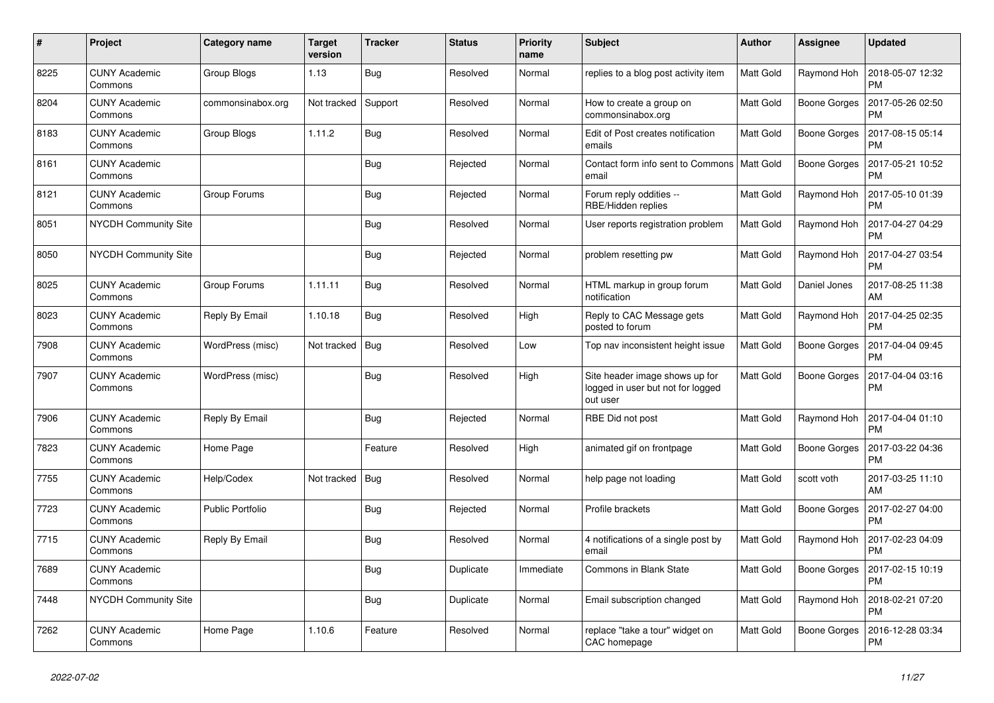| #    | Project                         | Category name     | <b>Target</b><br>version | <b>Tracker</b> | <b>Status</b> | <b>Priority</b><br>name | <b>Subject</b>                                                                  | Author           | Assignee            | <b>Updated</b>                |
|------|---------------------------------|-------------------|--------------------------|----------------|---------------|-------------------------|---------------------------------------------------------------------------------|------------------|---------------------|-------------------------------|
| 8225 | <b>CUNY Academic</b><br>Commons | Group Blogs       | 1.13                     | <b>Bug</b>     | Resolved      | Normal                  | replies to a blog post activity item                                            | Matt Gold        | Raymond Hoh         | 2018-05-07 12:32<br><b>PM</b> |
| 8204 | <b>CUNY Academic</b><br>Commons | commonsinabox.org | Not tracked              | Support        | Resolved      | Normal                  | How to create a group on<br>commonsinabox.org                                   | Matt Gold        | <b>Boone Gorges</b> | 2017-05-26 02:50<br><b>PM</b> |
| 8183 | <b>CUNY Academic</b><br>Commons | Group Blogs       | 1.11.2                   | Bug            | Resolved      | Normal                  | Edit of Post creates notification<br>emails                                     | <b>Matt Gold</b> | <b>Boone Gorges</b> | 2017-08-15 05:14<br><b>PM</b> |
| 8161 | <b>CUNY Academic</b><br>Commons |                   |                          | <b>Bug</b>     | Rejected      | Normal                  | Contact form info sent to Commons   Matt Gold<br>email                          |                  | <b>Boone Gorges</b> | 2017-05-21 10:52<br><b>PM</b> |
| 8121 | <b>CUNY Academic</b><br>Commons | Group Forums      |                          | Bug            | Rejected      | Normal                  | Forum reply oddities --<br>RBE/Hidden replies                                   | Matt Gold        | Raymond Hoh         | 2017-05-10 01:39<br><b>PM</b> |
| 8051 | <b>NYCDH Community Site</b>     |                   |                          | Bug            | Resolved      | Normal                  | User reports registration problem                                               | <b>Matt Gold</b> | Raymond Hoh         | 2017-04-27 04:29<br><b>PM</b> |
| 8050 | <b>NYCDH Community Site</b>     |                   |                          | <b>Bug</b>     | Rejected      | Normal                  | problem resetting pw                                                            | Matt Gold        | Raymond Hoh         | 2017-04-27 03:54<br><b>PM</b> |
| 8025 | <b>CUNY Academic</b><br>Commons | Group Forums      | 1.11.11                  | <b>Bug</b>     | Resolved      | Normal                  | HTML markup in group forum<br>notification                                      | Matt Gold        | Daniel Jones        | 2017-08-25 11:38<br>AM        |
| 8023 | <b>CUNY Academic</b><br>Commons | Reply By Email    | 1.10.18                  | Bug            | Resolved      | High                    | Reply to CAC Message gets<br>posted to forum                                    | <b>Matt Gold</b> | Raymond Hoh         | 2017-04-25 02:35<br><b>PM</b> |
| 7908 | <b>CUNY Academic</b><br>Commons | WordPress (misc)  | Not tracked              | Bug            | Resolved      | Low                     | Top nav inconsistent height issue                                               | Matt Gold        | Boone Gorges        | 2017-04-04 09:45<br><b>PM</b> |
| 7907 | <b>CUNY Academic</b><br>Commons | WordPress (misc)  |                          | <b>Bug</b>     | Resolved      | High                    | Site header image shows up for<br>logged in user but not for logged<br>out user | Matt Gold        | Boone Gorges        | 2017-04-04 03:16<br><b>PM</b> |
| 7906 | <b>CUNY Academic</b><br>Commons | Reply By Email    |                          | Bug            | Rejected      | Normal                  | RBE Did not post                                                                | Matt Gold        | Raymond Hoh         | 2017-04-04 01:10<br><b>PM</b> |
| 7823 | <b>CUNY Academic</b><br>Commons | Home Page         |                          | Feature        | Resolved      | High                    | animated gif on frontpage                                                       | <b>Matt Gold</b> | <b>Boone Gorges</b> | 2017-03-22 04:36<br><b>PM</b> |
| 7755 | <b>CUNY Academic</b><br>Commons | Help/Codex        | Not tracked              | <b>Bug</b>     | Resolved      | Normal                  | help page not loading                                                           | Matt Gold        | scott voth          | 2017-03-25 11:10<br>AM        |
| 7723 | <b>CUNY Academic</b><br>Commons | Public Portfolio  |                          | <b>Bug</b>     | Rejected      | Normal                  | Profile brackets                                                                | <b>Matt Gold</b> | <b>Boone Gorges</b> | 2017-02-27 04:00<br><b>PM</b> |
| 7715 | <b>CUNY Academic</b><br>Commons | Reply By Email    |                          | <b>Bug</b>     | Resolved      | Normal                  | 4 notifications of a single post by<br>email                                    | Matt Gold        | Raymond Hoh         | 2017-02-23 04:09<br><b>PM</b> |
| 7689 | <b>CUNY Academic</b><br>Commons |                   |                          | Bug            | Duplicate     | Immediate               | Commons in Blank State                                                          | Matt Gold        | Boone Gorges        | 2017-02-15 10:19<br><b>PM</b> |
| 7448 | <b>NYCDH Community Site</b>     |                   |                          | <b>Bug</b>     | Duplicate     | Normal                  | Email subscription changed                                                      | <b>Matt Gold</b> | Raymond Hoh         | 2018-02-21 07:20<br><b>PM</b> |
| 7262 | <b>CUNY Academic</b><br>Commons | Home Page         | 1.10.6                   | Feature        | Resolved      | Normal                  | replace "take a tour" widget on<br>CAC homepage                                 | <b>Matt Gold</b> | <b>Boone Gorges</b> | 2016-12-28 03:34<br><b>PM</b> |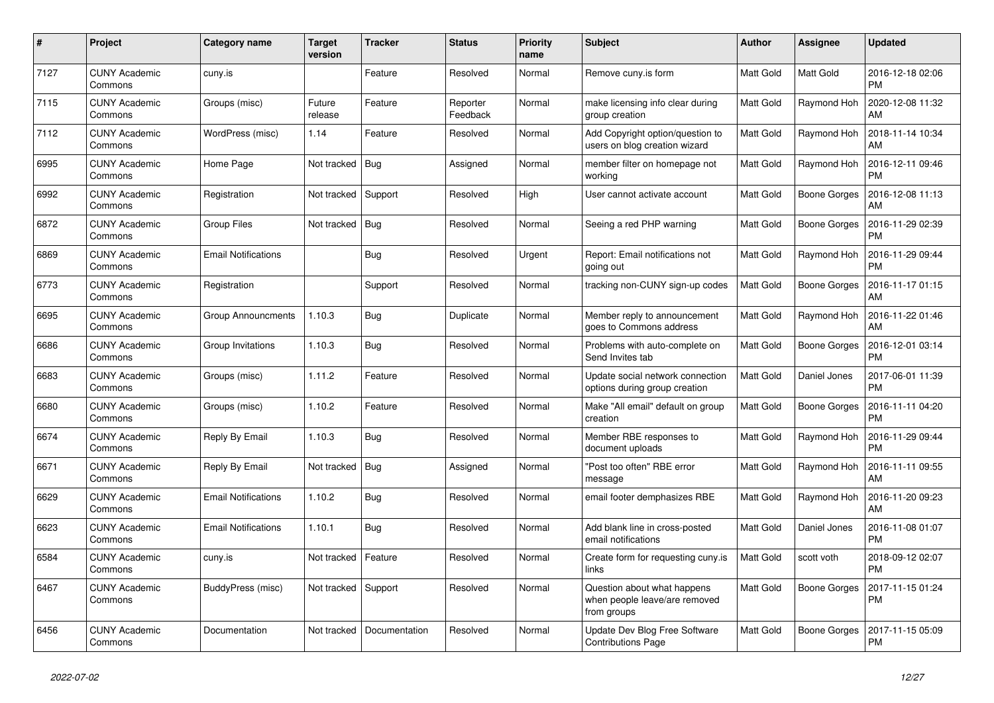| #    | Project                         | Category name              | <b>Target</b><br>version | <b>Tracker</b> | <b>Status</b>        | <b>Priority</b><br>name | <b>Subject</b>                                                              | <b>Author</b>    | Assignee            | <b>Updated</b>                |
|------|---------------------------------|----------------------------|--------------------------|----------------|----------------------|-------------------------|-----------------------------------------------------------------------------|------------------|---------------------|-------------------------------|
| 7127 | <b>CUNY Academic</b><br>Commons | cuny.is                    |                          | Feature        | Resolved             | Normal                  | Remove cuny.is form                                                         | <b>Matt Gold</b> | Matt Gold           | 2016-12-18 02:06<br><b>PM</b> |
| 7115 | <b>CUNY Academic</b><br>Commons | Groups (misc)              | Future<br>release        | Feature        | Reporter<br>Feedback | Normal                  | make licensing info clear during<br>group creation                          | Matt Gold        | Raymond Hoh         | 2020-12-08 11:32<br>AM        |
| 7112 | <b>CUNY Academic</b><br>Commons | WordPress (misc)           | 1.14                     | Feature        | Resolved             | Normal                  | Add Copyright option/question to<br>users on blog creation wizard           | Matt Gold        | Raymond Hoh         | 2018-11-14 10:34<br>AM        |
| 6995 | <b>CUNY Academic</b><br>Commons | Home Page                  | Not tracked              | <b>Bug</b>     | Assigned             | Normal                  | member filter on homepage not<br>working                                    | Matt Gold        | Raymond Hoh         | 2016-12-11 09:46<br><b>PM</b> |
| 6992 | <b>CUNY Academic</b><br>Commons | Registration               | Not tracked              | Support        | Resolved             | High                    | User cannot activate account                                                | Matt Gold        | Boone Gorges        | 2016-12-08 11:13<br>AM        |
| 6872 | <b>CUNY Academic</b><br>Commons | <b>Group Files</b>         | Not tracked              | Bug            | Resolved             | Normal                  | Seeing a red PHP warning                                                    | Matt Gold        | <b>Boone Gorges</b> | 2016-11-29 02:39<br><b>PM</b> |
| 6869 | <b>CUNY Academic</b><br>Commons | <b>Email Notifications</b> |                          | <b>Bug</b>     | Resolved             | Urgent                  | Report: Email notifications not<br>going out                                | Matt Gold        | Raymond Hoh         | 2016-11-29 09:44<br><b>PM</b> |
| 6773 | <b>CUNY Academic</b><br>Commons | Registration               |                          | Support        | Resolved             | Normal                  | tracking non-CUNY sign-up codes                                             | Matt Gold        | Boone Gorges        | 2016-11-17 01:15<br>AM        |
| 6695 | <b>CUNY Academic</b><br>Commons | <b>Group Announcments</b>  | 1.10.3                   | <b>Bug</b>     | Duplicate            | Normal                  | Member reply to announcement<br>goes to Commons address                     | Matt Gold        | Raymond Hoh         | 2016-11-22 01:46<br>AM        |
| 6686 | <b>CUNY Academic</b><br>Commons | Group Invitations          | 1.10.3                   | Bug            | Resolved             | Normal                  | Problems with auto-complete on<br>Send Invites tab                          | Matt Gold        | Boone Gorges        | 2016-12-01 03:14<br><b>PM</b> |
| 6683 | <b>CUNY Academic</b><br>Commons | Groups (misc)              | 1.11.2                   | Feature        | Resolved             | Normal                  | Update social network connection<br>options during group creation           | Matt Gold        | Daniel Jones        | 2017-06-01 11:39<br><b>PM</b> |
| 6680 | <b>CUNY Academic</b><br>Commons | Groups (misc)              | 1.10.2                   | Feature        | Resolved             | Normal                  | Make "All email" default on group<br>creation                               | <b>Matt Gold</b> | <b>Boone Gorges</b> | 2016-11-11 04:20<br><b>PM</b> |
| 6674 | <b>CUNY Academic</b><br>Commons | Reply By Email             | 1.10.3                   | <b>Bug</b>     | Resolved             | Normal                  | Member RBE responses to<br>document uploads                                 | Matt Gold        | Raymond Hoh         | 2016-11-29 09:44<br><b>PM</b> |
| 6671 | <b>CUNY Academic</b><br>Commons | Reply By Email             | Not tracked              | Bug            | Assigned             | Normal                  | "Post too often" RBE error<br>message                                       | Matt Gold        | Raymond Hoh         | 2016-11-11 09:55<br>AM        |
| 6629 | <b>CUNY Academic</b><br>Commons | <b>Email Notifications</b> | 1.10.2                   | Bug            | Resolved             | Normal                  | email footer demphasizes RBE                                                | Matt Gold        | Raymond Hoh         | 2016-11-20 09:23<br>AM        |
| 6623 | <b>CUNY Academic</b><br>Commons | <b>Email Notifications</b> | 1.10.1                   | <b>Bug</b>     | Resolved             | Normal                  | Add blank line in cross-posted<br>email notifications                       | Matt Gold        | Daniel Jones        | 2016-11-08 01:07<br><b>PM</b> |
| 6584 | <b>CUNY Academic</b><br>Commons | cuny.is                    | Not tracked              | Feature        | Resolved             | Normal                  | Create form for requesting cuny.is<br>links                                 | Matt Gold        | scott voth          | 2018-09-12 02:07<br><b>PM</b> |
| 6467 | <b>CUNY Academic</b><br>Commons | BuddyPress (misc)          | Not tracked              | Support        | Resolved             | Normal                  | Question about what happens<br>when people leave/are removed<br>from groups | Matt Gold        | <b>Boone Gorges</b> | 2017-11-15 01:24<br><b>PM</b> |
| 6456 | <b>CUNY Academic</b><br>Commons | Documentation              | Not tracked              | Documentation  | Resolved             | Normal                  | Update Dev Blog Free Software<br><b>Contributions Page</b>                  | Matt Gold        | <b>Boone Gorges</b> | 2017-11-15 05:09<br><b>PM</b> |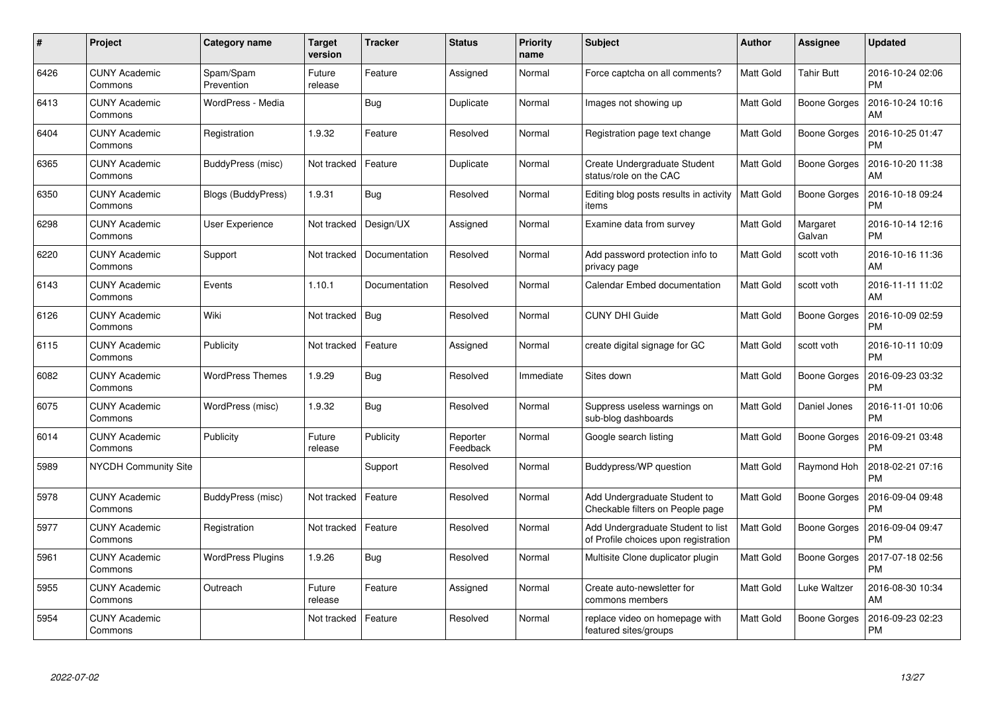| #    | Project                         | <b>Category name</b>     | Target<br>version | <b>Tracker</b> | <b>Status</b>        | <b>Priority</b><br>name | <b>Subject</b>                                                            | <b>Author</b>    | Assignee            | <b>Updated</b>                |
|------|---------------------------------|--------------------------|-------------------|----------------|----------------------|-------------------------|---------------------------------------------------------------------------|------------------|---------------------|-------------------------------|
| 6426 | <b>CUNY Academic</b><br>Commons | Spam/Spam<br>Prevention  | Future<br>release | Feature        | Assigned             | Normal                  | Force captcha on all comments?                                            | <b>Matt Gold</b> | <b>Tahir Butt</b>   | 2016-10-24 02:06<br><b>PM</b> |
| 6413 | <b>CUNY Academic</b><br>Commons | WordPress - Media        |                   | <b>Bug</b>     | Duplicate            | Normal                  | Images not showing up                                                     | Matt Gold        | <b>Boone Gorges</b> | 2016-10-24 10:16<br>AM        |
| 6404 | <b>CUNY Academic</b><br>Commons | Registration             | 1.9.32            | Feature        | Resolved             | Normal                  | Registration page text change                                             | <b>Matt Gold</b> | <b>Boone Gorges</b> | 2016-10-25 01:47<br><b>PM</b> |
| 6365 | <b>CUNY Academic</b><br>Commons | BuddyPress (misc)        | Not tracked       | Feature        | Duplicate            | Normal                  | Create Undergraduate Student<br>status/role on the CAC                    | <b>Matt Gold</b> | Boone Gorges        | 2016-10-20 11:38<br>AM        |
| 6350 | <b>CUNY Academic</b><br>Commons | Blogs (BuddyPress)       | 1.9.31            | Bug            | Resolved             | Normal                  | Editing blog posts results in activity<br>items                           | <b>Matt Gold</b> | <b>Boone Gorges</b> | 2016-10-18 09:24<br><b>PM</b> |
| 6298 | <b>CUNY Academic</b><br>Commons | User Experience          | Not tracked       | Design/UX      | Assigned             | Normal                  | Examine data from survey                                                  | Matt Gold        | Margaret<br>Galvan  | 2016-10-14 12:16<br><b>PM</b> |
| 6220 | <b>CUNY Academic</b><br>Commons | Support                  | Not tracked       | Documentation  | Resolved             | Normal                  | Add password protection info to<br>privacy page                           | <b>Matt Gold</b> | scott voth          | 2016-10-16 11:36<br>AM        |
| 6143 | <b>CUNY Academic</b><br>Commons | Events                   | 1.10.1            | Documentation  | Resolved             | Normal                  | Calendar Embed documentation                                              | <b>Matt Gold</b> | scott voth          | 2016-11-11 11:02<br>AM        |
| 6126 | <b>CUNY Academic</b><br>Commons | Wiki                     | Not tracked       | Bug            | Resolved             | Normal                  | <b>CUNY DHI Guide</b>                                                     | Matt Gold        | <b>Boone Gorges</b> | 2016-10-09 02:59<br><b>PM</b> |
| 6115 | <b>CUNY Academic</b><br>Commons | Publicity                | Not tracked       | Feature        | Assigned             | Normal                  | create digital signage for GC                                             | Matt Gold        | scott voth          | 2016-10-11 10:09<br><b>PM</b> |
| 6082 | <b>CUNY Academic</b><br>Commons | <b>WordPress Themes</b>  | 1.9.29            | Bug            | Resolved             | Immediate               | Sites down                                                                | <b>Matt Gold</b> | <b>Boone Gorges</b> | 2016-09-23 03:32<br><b>PM</b> |
| 6075 | <b>CUNY Academic</b><br>Commons | WordPress (misc)         | 1.9.32            | <b>Bug</b>     | Resolved             | Normal                  | Suppress useless warnings on<br>sub-blog dashboards                       | Matt Gold        | Daniel Jones        | 2016-11-01 10:06<br><b>PM</b> |
| 6014 | <b>CUNY Academic</b><br>Commons | Publicity                | Future<br>release | Publicity      | Reporter<br>Feedback | Normal                  | Google search listing                                                     | Matt Gold        | <b>Boone Gorges</b> | 2016-09-21 03:48<br><b>PM</b> |
| 5989 | NYCDH Community Site            |                          |                   | Support        | Resolved             | Normal                  | Buddypress/WP question                                                    | Matt Gold        | Raymond Hoh         | 2018-02-21 07:16<br><b>PM</b> |
| 5978 | <b>CUNY Academic</b><br>Commons | BuddyPress (misc)        | Not tracked       | Feature        | Resolved             | Normal                  | Add Undergraduate Student to<br>Checkable filters on People page          | Matt Gold        | <b>Boone Gorges</b> | 2016-09-04 09:48<br><b>PM</b> |
| 5977 | <b>CUNY Academic</b><br>Commons | Registration             | Not tracked       | Feature        | Resolved             | Normal                  | Add Undergraduate Student to list<br>of Profile choices upon registration | Matt Gold        | Boone Gorges        | 2016-09-04 09:47<br><b>PM</b> |
| 5961 | <b>CUNY Academic</b><br>Commons | <b>WordPress Plugins</b> | 1.9.26            | Bug            | Resolved             | Normal                  | Multisite Clone duplicator plugin                                         | Matt Gold        | <b>Boone Gorges</b> | 2017-07-18 02:56<br><b>PM</b> |
| 5955 | <b>CUNY Academic</b><br>Commons | Outreach                 | Future<br>release | Feature        | Assigned             | Normal                  | Create auto-newsletter for<br>commons members                             | <b>Matt Gold</b> | Luke Waltzer        | 2016-08-30 10:34<br>AM        |
| 5954 | <b>CUNY Academic</b><br>Commons |                          | Not tracked       | Feature        | Resolved             | Normal                  | replace video on homepage with<br>featured sites/groups                   | <b>Matt Gold</b> | <b>Boone Gorges</b> | 2016-09-23 02:23<br><b>PM</b> |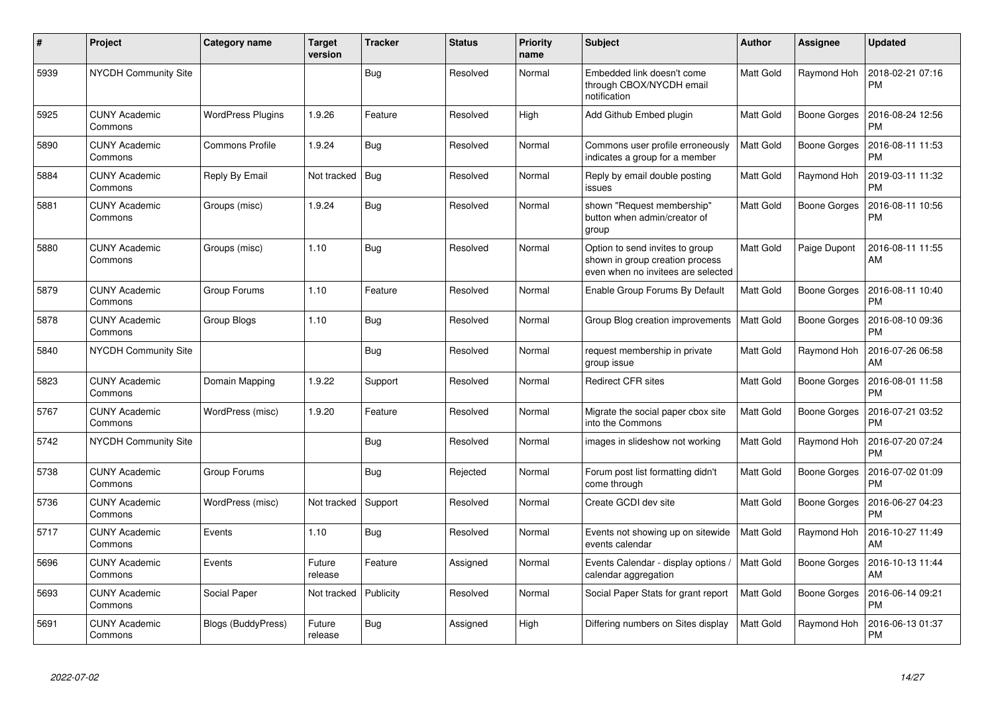| #    | Project                         | Category name            | <b>Target</b><br>version | <b>Tracker</b> | <b>Status</b> | <b>Priority</b><br>name | <b>Subject</b>                                                                                           | <b>Author</b>    | <b>Assignee</b>     | <b>Updated</b>                |
|------|---------------------------------|--------------------------|--------------------------|----------------|---------------|-------------------------|----------------------------------------------------------------------------------------------------------|------------------|---------------------|-------------------------------|
| 5939 | <b>NYCDH Community Site</b>     |                          |                          | Bug            | Resolved      | Normal                  | Embedded link doesn't come<br>through CBOX/NYCDH email<br>notification                                   | Matt Gold        | Raymond Hoh         | 2018-02-21 07:16<br><b>PM</b> |
| 5925 | <b>CUNY Academic</b><br>Commons | <b>WordPress Plugins</b> | 1.9.26                   | Feature        | Resolved      | High                    | Add Github Embed plugin                                                                                  | Matt Gold        | Boone Gorges        | 2016-08-24 12:56<br><b>PM</b> |
| 5890 | <b>CUNY Academic</b><br>Commons | <b>Commons Profile</b>   | 1.9.24                   | <b>Bug</b>     | Resolved      | Normal                  | Commons user profile erroneously<br>indicates a group for a member                                       | Matt Gold        | Boone Gorges        | 2016-08-11 11:53<br><b>PM</b> |
| 5884 | <b>CUNY Academic</b><br>Commons | Reply By Email           | Not tracked              | Bug            | Resolved      | Normal                  | Reply by email double posting<br>issues                                                                  | Matt Gold        | Raymond Hoh         | 2019-03-11 11:32<br>PM        |
| 5881 | <b>CUNY Academic</b><br>Commons | Groups (misc)            | 1.9.24                   | Bug            | Resolved      | Normal                  | shown "Request membership"<br>button when admin/creator of<br>group                                      | Matt Gold        | Boone Gorges        | 2016-08-11 10:56<br>PM        |
| 5880 | <b>CUNY Academic</b><br>Commons | Groups (misc)            | 1.10                     | Bug            | Resolved      | Normal                  | Option to send invites to group<br>shown in group creation process<br>even when no invitees are selected | Matt Gold        | Paige Dupont        | 2016-08-11 11:55<br>AM        |
| 5879 | <b>CUNY Academic</b><br>Commons | Group Forums             | 1.10                     | Feature        | Resolved      | Normal                  | Enable Group Forums By Default                                                                           | Matt Gold        | Boone Gorges        | 2016-08-11 10:40<br><b>PM</b> |
| 5878 | <b>CUNY Academic</b><br>Commons | Group Blogs              | 1.10                     | Bug            | Resolved      | Normal                  | Group Blog creation improvements                                                                         | Matt Gold        | Boone Gorges        | 2016-08-10 09:36<br><b>PM</b> |
| 5840 | <b>NYCDH Community Site</b>     |                          |                          | Bug            | Resolved      | Normal                  | request membership in private<br>group issue                                                             | Matt Gold        | Raymond Hoh         | 2016-07-26 06:58<br>AM        |
| 5823 | <b>CUNY Academic</b><br>Commons | Domain Mapping           | 1.9.22                   | Support        | Resolved      | Normal                  | <b>Redirect CFR sites</b>                                                                                | Matt Gold        | Boone Gorges        | 2016-08-01 11:58<br><b>PM</b> |
| 5767 | <b>CUNY Academic</b><br>Commons | WordPress (misc)         | 1.9.20                   | Feature        | Resolved      | Normal                  | Migrate the social paper cbox site<br>into the Commons                                                   | Matt Gold        | Boone Gorges        | 2016-07-21 03:52<br><b>PM</b> |
| 5742 | <b>NYCDH Community Site</b>     |                          |                          | Bug            | Resolved      | Normal                  | images in slideshow not working                                                                          | Matt Gold        | Raymond Hoh         | 2016-07-20 07:24<br><b>PM</b> |
| 5738 | <b>CUNY Academic</b><br>Commons | Group Forums             |                          | Bug            | Rejected      | Normal                  | Forum post list formatting didn't<br>come through                                                        | Matt Gold        | Boone Gorges        | 2016-07-02 01:09<br><b>PM</b> |
| 5736 | <b>CUNY Academic</b><br>Commons | WordPress (misc)         | Not tracked              | Support        | Resolved      | Normal                  | Create GCDI dev site                                                                                     | Matt Gold        | <b>Boone Gorges</b> | 2016-06-27 04:23<br><b>PM</b> |
| 5717 | <b>CUNY Academic</b><br>Commons | Events                   | 1.10                     | <b>Bug</b>     | Resolved      | Normal                  | Events not showing up on sitewide<br>events calendar                                                     | <b>Matt Gold</b> | Raymond Hoh         | 2016-10-27 11:49<br>AM        |
| 5696 | <b>CUNY Academic</b><br>Commons | Events                   | Future<br>release        | Feature        | Assigned      | Normal                  | Events Calendar - display options /<br>calendar aggregation                                              | Matt Gold        | Boone Gorges        | 2016-10-13 11:44<br>AM        |
| 5693 | <b>CUNY Academic</b><br>Commons | Social Paper             | Not tracked              | Publicity      | Resolved      | Normal                  | Social Paper Stats for grant report                                                                      | Matt Gold        | Boone Gorges        | 2016-06-14 09:21<br><b>PM</b> |
| 5691 | <b>CUNY Academic</b><br>Commons | Blogs (BuddyPress)       | Future<br>release        | Bug            | Assigned      | High                    | Differing numbers on Sites display                                                                       | Matt Gold        | Raymond Hoh         | 2016-06-13 01:37<br><b>PM</b> |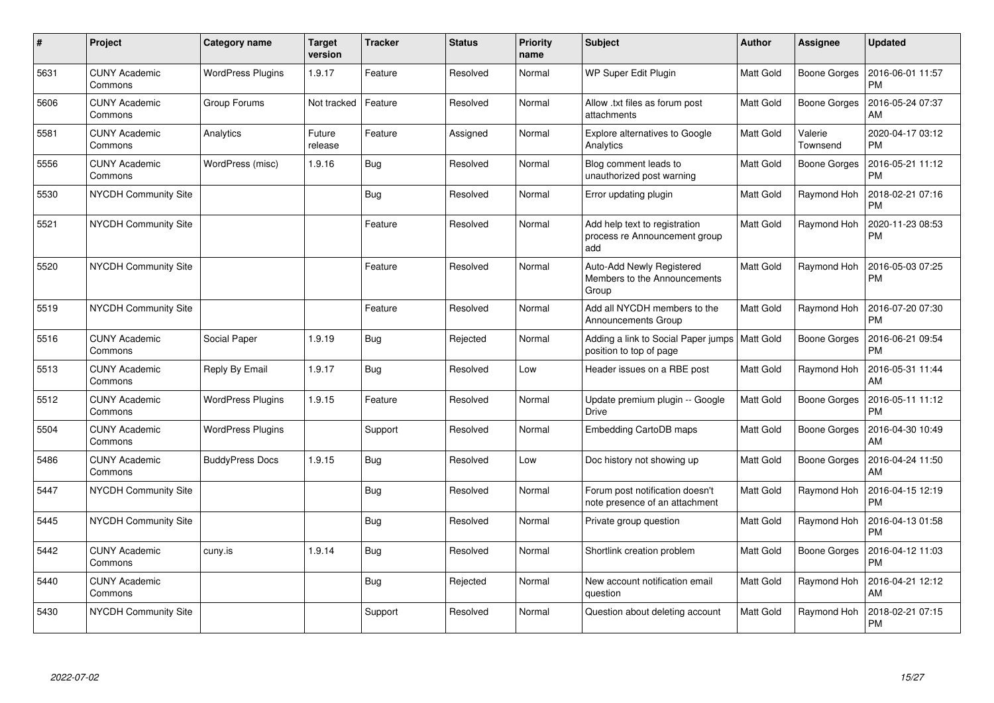| $\#$ | Project                         | Category name            | <b>Target</b><br>version | <b>Tracker</b> | <b>Status</b> | <b>Priority</b><br>name | <b>Subject</b>                                                        | <b>Author</b> | <b>Assignee</b>     | <b>Updated</b>                |
|------|---------------------------------|--------------------------|--------------------------|----------------|---------------|-------------------------|-----------------------------------------------------------------------|---------------|---------------------|-------------------------------|
| 5631 | <b>CUNY Academic</b><br>Commons | <b>WordPress Plugins</b> | 1.9.17                   | Feature        | Resolved      | Normal                  | WP Super Edit Plugin                                                  | Matt Gold     | Boone Gorges        | 2016-06-01 11:57<br><b>PM</b> |
| 5606 | <b>CUNY Academic</b><br>Commons | Group Forums             | Not tracked              | Feature        | Resolved      | Normal                  | Allow .txt files as forum post<br>attachments                         | Matt Gold     | Boone Gorges        | 2016-05-24 07:37<br>AM        |
| 5581 | <b>CUNY Academic</b><br>Commons | Analytics                | Future<br>release        | Feature        | Assigned      | Normal                  | Explore alternatives to Google<br>Analytics                           | Matt Gold     | Valerie<br>Townsend | 2020-04-17 03:12<br><b>PM</b> |
| 5556 | <b>CUNY Academic</b><br>Commons | WordPress (misc)         | 1.9.16                   | <b>Bug</b>     | Resolved      | Normal                  | Blog comment leads to<br>unauthorized post warning                    | Matt Gold     | Boone Gorges        | 2016-05-21 11:12<br><b>PM</b> |
| 5530 | NYCDH Community Site            |                          |                          | <b>Bug</b>     | Resolved      | Normal                  | Error updating plugin                                                 | Matt Gold     | Raymond Hoh         | 2018-02-21 07:16<br><b>PM</b> |
| 5521 | NYCDH Community Site            |                          |                          | Feature        | Resolved      | Normal                  | Add help text to registration<br>process re Announcement group<br>add | Matt Gold     | Raymond Hoh         | 2020-11-23 08:53<br><b>PM</b> |
| 5520 | <b>NYCDH Community Site</b>     |                          |                          | Feature        | Resolved      | Normal                  | Auto-Add Newly Registered<br>Members to the Announcements<br>Group    | Matt Gold     | Raymond Hoh         | 2016-05-03 07:25<br><b>PM</b> |
| 5519 | NYCDH Community Site            |                          |                          | Feature        | Resolved      | Normal                  | Add all NYCDH members to the<br>Announcements Group                   | Matt Gold     | Raymond Hoh         | 2016-07-20 07:30<br><b>PM</b> |
| 5516 | <b>CUNY Academic</b><br>Commons | Social Paper             | 1.9.19                   | <b>Bug</b>     | Rejected      | Normal                  | Adding a link to Social Paper jumps<br>position to top of page        | Matt Gold     | Boone Gorges        | 2016-06-21 09:54<br><b>PM</b> |
| 5513 | <b>CUNY Academic</b><br>Commons | Reply By Email           | 1.9.17                   | <b>Bug</b>     | Resolved      | Low                     | Header issues on a RBE post                                           | Matt Gold     | Raymond Hoh         | 2016-05-31 11:44<br>AM        |
| 5512 | <b>CUNY Academic</b><br>Commons | <b>WordPress Plugins</b> | 1.9.15                   | Feature        | Resolved      | Normal                  | Update premium plugin -- Google<br><b>Drive</b>                       | Matt Gold     | Boone Gorges        | 2016-05-11 11:12<br><b>PM</b> |
| 5504 | <b>CUNY Academic</b><br>Commons | <b>WordPress Plugins</b> |                          | Support        | Resolved      | Normal                  | <b>Embedding CartoDB maps</b>                                         | Matt Gold     | Boone Gorges        | 2016-04-30 10:49<br>AM        |
| 5486 | <b>CUNY Academic</b><br>Commons | <b>BuddyPress Docs</b>   | 1.9.15                   | <b>Bug</b>     | Resolved      | Low                     | Doc history not showing up                                            | Matt Gold     | Boone Gorges        | 2016-04-24 11:50<br>AM        |
| 5447 | NYCDH Community Site            |                          |                          | <b>Bug</b>     | Resolved      | Normal                  | Forum post notification doesn't<br>note presence of an attachment     | Matt Gold     | Raymond Hoh         | 2016-04-15 12:19<br><b>PM</b> |
| 5445 | <b>NYCDH Community Site</b>     |                          |                          | Bug            | Resolved      | Normal                  | Private group question                                                | Matt Gold     | Raymond Hoh         | 2016-04-13 01:58<br><b>PM</b> |
| 5442 | <b>CUNY Academic</b><br>Commons | cuny.is                  | 1.9.14                   | Bug            | Resolved      | Normal                  | Shortlink creation problem                                            | Matt Gold     | Boone Gorges        | 2016-04-12 11:03<br><b>PM</b> |
| 5440 | <b>CUNY Academic</b><br>Commons |                          |                          | Bug            | Rejected      | Normal                  | New account notification email<br>question                            | Matt Gold     | Raymond Hoh         | 2016-04-21 12:12<br>AM        |
| 5430 | <b>NYCDH Community Site</b>     |                          |                          | Support        | Resolved      | Normal                  | Question about deleting account                                       | Matt Gold     | Raymond Hoh         | 2018-02-21 07:15<br><b>PM</b> |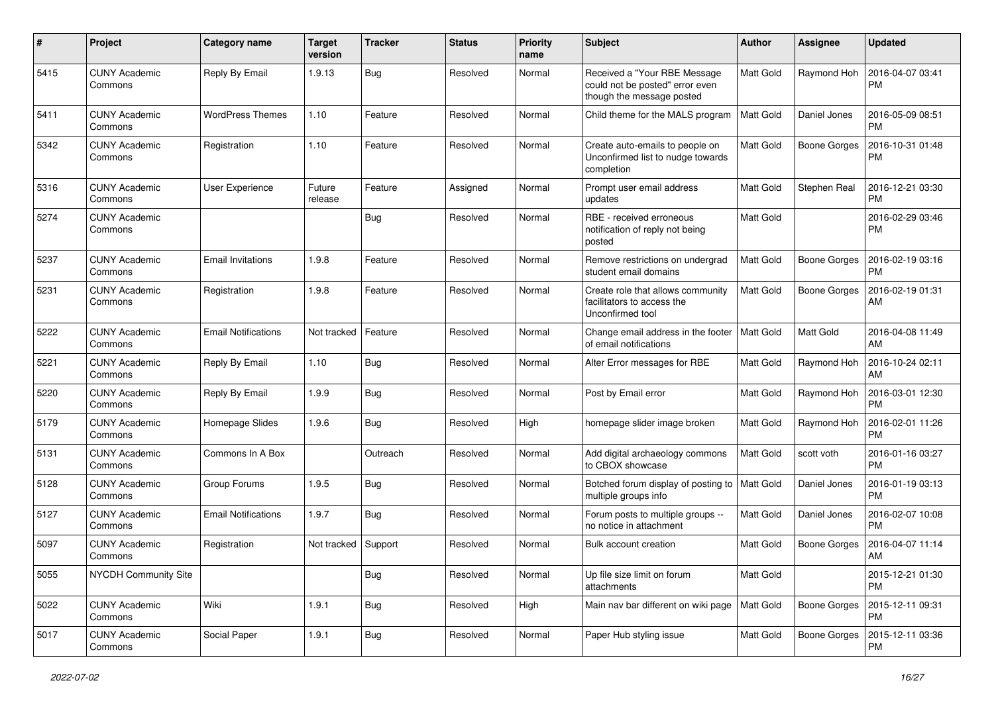| #    | Project                         | <b>Category name</b>       | Target<br>version | <b>Tracker</b> | <b>Status</b> | <b>Priority</b><br>name | Subject                                                                                      | Author    | <b>Assignee</b>     | <b>Updated</b>                |
|------|---------------------------------|----------------------------|-------------------|----------------|---------------|-------------------------|----------------------------------------------------------------------------------------------|-----------|---------------------|-------------------------------|
| 5415 | <b>CUNY Academic</b><br>Commons | Reply By Email             | 1.9.13            | <b>Bug</b>     | Resolved      | Normal                  | Received a "Your RBE Message<br>could not be posted" error even<br>though the message posted | Matt Gold | Raymond Hoh         | 2016-04-07 03:41<br>РM        |
| 5411 | <b>CUNY Academic</b><br>Commons | <b>WordPress Themes</b>    | 1.10              | Feature        | Resolved      | Normal                  | Child theme for the MALS program                                                             | Matt Gold | Daniel Jones        | 2016-05-09 08:51<br><b>PM</b> |
| 5342 | <b>CUNY Academic</b><br>Commons | Registration               | 1.10              | Feature        | Resolved      | Normal                  | Create auto-emails to people on<br>Unconfirmed list to nudge towards<br>completion           | Matt Gold | Boone Gorges        | 2016-10-31 01:48<br><b>PM</b> |
| 5316 | <b>CUNY Academic</b><br>Commons | <b>User Experience</b>     | Future<br>release | Feature        | Assigned      | Normal                  | Prompt user email address<br>updates                                                         | Matt Gold | Stephen Real        | 2016-12-21 03:30<br><b>PM</b> |
| 5274 | <b>CUNY Academic</b><br>Commons |                            |                   | <b>Bug</b>     | Resolved      | Normal                  | RBE - received erroneous<br>notification of reply not being<br>posted                        | Matt Gold |                     | 2016-02-29 03:46<br><b>PM</b> |
| 5237 | <b>CUNY Academic</b><br>Commons | <b>Email Invitations</b>   | 1.9.8             | Feature        | Resolved      | Normal                  | Remove restrictions on undergrad<br>student email domains                                    | Matt Gold | <b>Boone Gorges</b> | 2016-02-19 03:16<br><b>PM</b> |
| 5231 | <b>CUNY Academic</b><br>Commons | Registration               | 1.9.8             | Feature        | Resolved      | Normal                  | Create role that allows community<br>facilitators to access the<br>Unconfirmed tool          | Matt Gold | Boone Gorges        | 2016-02-19 01:31<br>AM        |
| 5222 | <b>CUNY Academic</b><br>Commons | <b>Email Notifications</b> | Not tracked       | Feature        | Resolved      | Normal                  | Change email address in the footer<br>of email notifications                                 | Matt Gold | Matt Gold           | 2016-04-08 11:49<br>AM        |
| 5221 | <b>CUNY Academic</b><br>Commons | Reply By Email             | 1.10              | <b>Bug</b>     | Resolved      | Normal                  | Alter Error messages for RBE                                                                 | Matt Gold | Raymond Hoh         | 2016-10-24 02:11<br>AM        |
| 5220 | <b>CUNY Academic</b><br>Commons | Reply By Email             | 1.9.9             | Bug            | Resolved      | Normal                  | Post by Email error                                                                          | Matt Gold | Raymond Hoh         | 2016-03-01 12:30<br><b>PM</b> |
| 5179 | <b>CUNY Academic</b><br>Commons | Homepage Slides            | 1.9.6             | <b>Bug</b>     | Resolved      | High                    | homepage slider image broken                                                                 | Matt Gold | Raymond Hoh         | 2016-02-01 11:26<br><b>PM</b> |
| 5131 | <b>CUNY Academic</b><br>Commons | Commons In A Box           |                   | Outreach       | Resolved      | Normal                  | Add digital archaeology commons<br>to CBOX showcase                                          | Matt Gold | scott voth          | 2016-01-16 03:27<br><b>PM</b> |
| 5128 | <b>CUNY Academic</b><br>Commons | Group Forums               | 1.9.5             | <b>Bug</b>     | Resolved      | Normal                  | Botched forum display of posting to<br>multiple groups info                                  | Matt Gold | Daniel Jones        | 2016-01-19 03:13<br>PM        |
| 5127 | <b>CUNY Academic</b><br>Commons | <b>Email Notifications</b> | 1.9.7             | Bug            | Resolved      | Normal                  | Forum posts to multiple groups --<br>no notice in attachment                                 | Matt Gold | Daniel Jones        | 2016-02-07 10:08<br><b>PM</b> |
| 5097 | CUNY Academic<br>Commons        | Registration               | Not tracked       | Support        | Resolved      | Normal                  | Bulk account creation                                                                        | Matt Gold | <b>Boone Gorges</b> | 2016-04-07 11:14<br>AM        |
| 5055 | NYCDH Community Site            |                            |                   | <b>Bug</b>     | Resolved      | Normal                  | Up file size limit on forum<br>attachments                                                   | Matt Gold |                     | 2015-12-21 01:30<br><b>PM</b> |
| 5022 | <b>CUNY Academic</b><br>Commons | Wiki                       | 1.9.1             | <b>Bug</b>     | Resolved      | High                    | Main nav bar different on wiki page                                                          | Matt Gold | Boone Gorges        | 2015-12-11 09:31<br><b>PM</b> |
| 5017 | <b>CUNY Academic</b><br>Commons | Social Paper               | 1.9.1             | Bug            | Resolved      | Normal                  | Paper Hub styling issue                                                                      | Matt Gold | Boone Gorges        | 2015-12-11 03:36<br>PM        |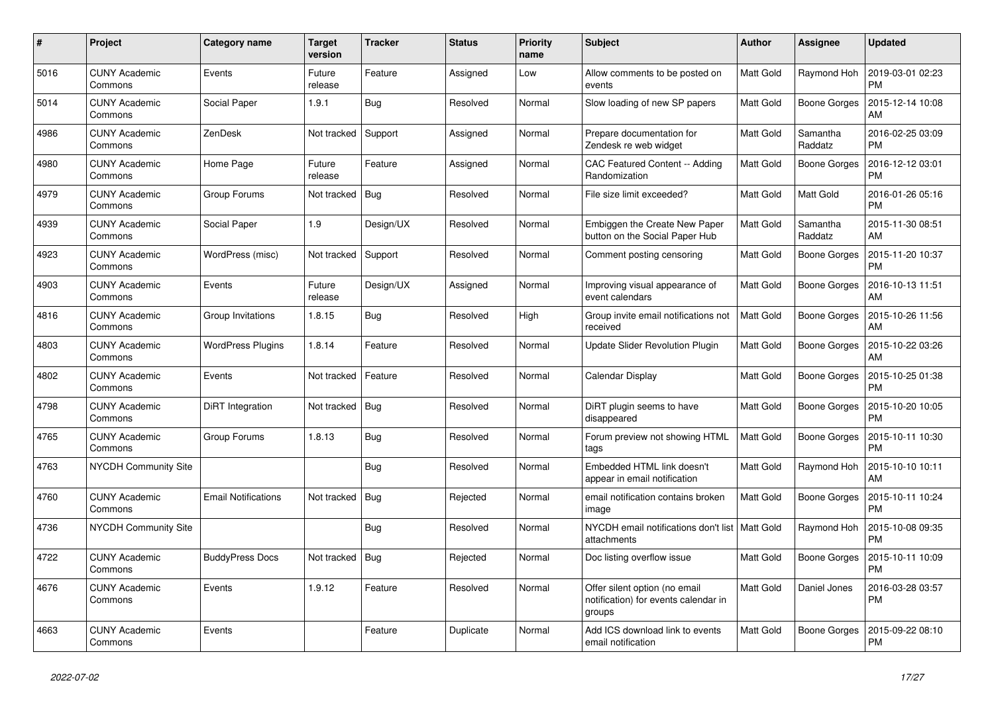| #    | Project                         | <b>Category name</b>       | <b>Target</b><br>version | <b>Tracker</b> | <b>Status</b> | <b>Priority</b><br>name | <b>Subject</b>                                                                  | <b>Author</b>    | Assignee            | <b>Updated</b>                |
|------|---------------------------------|----------------------------|--------------------------|----------------|---------------|-------------------------|---------------------------------------------------------------------------------|------------------|---------------------|-------------------------------|
| 5016 | <b>CUNY Academic</b><br>Commons | Events                     | Future<br>release        | Feature        | Assigned      | Low                     | Allow comments to be posted on<br>events                                        | <b>Matt Gold</b> | Raymond Hoh         | 2019-03-01 02:23<br><b>PM</b> |
| 5014 | <b>CUNY Academic</b><br>Commons | Social Paper               | 1.9.1                    | Bug            | Resolved      | Normal                  | Slow loading of new SP papers                                                   | Matt Gold        | <b>Boone Gorges</b> | 2015-12-14 10:08<br>AM        |
| 4986 | <b>CUNY Academic</b><br>Commons | ZenDesk                    | Not tracked              | Support        | Assigned      | Normal                  | Prepare documentation for<br>Zendesk re web widget                              | Matt Gold        | Samantha<br>Raddatz | 2016-02-25 03:09<br><b>PM</b> |
| 4980 | <b>CUNY Academic</b><br>Commons | Home Page                  | Future<br>release        | Feature        | Assigned      | Normal                  | CAC Featured Content -- Adding<br>Randomization                                 | <b>Matt Gold</b> | <b>Boone Gorges</b> | 2016-12-12 03:01<br><b>PM</b> |
| 4979 | <b>CUNY Academic</b><br>Commons | Group Forums               | Not tracked              | Bug            | Resolved      | Normal                  | File size limit exceeded?                                                       | Matt Gold        | Matt Gold           | 2016-01-26 05:16<br><b>PM</b> |
| 4939 | <b>CUNY Academic</b><br>Commons | Social Paper               | 1.9                      | Design/UX      | Resolved      | Normal                  | Embiggen the Create New Paper<br>button on the Social Paper Hub                 | Matt Gold        | Samantha<br>Raddatz | 2015-11-30 08:51<br>AM        |
| 4923 | <b>CUNY Academic</b><br>Commons | WordPress (misc)           | Not tracked              | Support        | Resolved      | Normal                  | Comment posting censoring                                                       | <b>Matt Gold</b> | Boone Gorges        | 2015-11-20 10:37<br><b>PM</b> |
| 4903 | <b>CUNY Academic</b><br>Commons | Events                     | Future<br>release        | Design/UX      | Assigned      | Normal                  | Improving visual appearance of<br>event calendars                               | Matt Gold        | Boone Gorges        | 2016-10-13 11:51<br>AM        |
| 4816 | <b>CUNY Academic</b><br>Commons | Group Invitations          | 1.8.15                   | Bug            | Resolved      | High                    | Group invite email notifications not<br>received                                | <b>Matt Gold</b> | <b>Boone Gorges</b> | 2015-10-26 11:56<br>AM        |
| 4803 | <b>CUNY Academic</b><br>Commons | <b>WordPress Plugins</b>   | 1.8.14                   | Feature        | Resolved      | Normal                  | <b>Update Slider Revolution Plugin</b>                                          | Matt Gold        | Boone Gorges        | 2015-10-22 03:26<br>AM        |
| 4802 | <b>CUNY Academic</b><br>Commons | Events                     | Not tracked              | Feature        | Resolved      | Normal                  | Calendar Display                                                                | Matt Gold        | <b>Boone Gorges</b> | 2015-10-25 01:38<br><b>PM</b> |
| 4798 | <b>CUNY Academic</b><br>Commons | DiRT Integration           | Not tracked              | Bug            | Resolved      | Normal                  | DiRT plugin seems to have<br>disappeared                                        | Matt Gold        | <b>Boone Gorges</b> | 2015-10-20 10:05<br><b>PM</b> |
| 4765 | <b>CUNY Academic</b><br>Commons | Group Forums               | 1.8.13                   | <b>Bug</b>     | Resolved      | Normal                  | Forum preview not showing HTML<br>tags                                          | Matt Gold        | Boone Gorges        | 2015-10-11 10:30<br><b>PM</b> |
| 4763 | <b>NYCDH Community Site</b>     |                            |                          | <b>Bug</b>     | Resolved      | Normal                  | Embedded HTML link doesn't<br>appear in email notification                      | Matt Gold        | Raymond Hoh         | 2015-10-10 10:11<br>AM        |
| 4760 | <b>CUNY Academic</b><br>Commons | <b>Email Notifications</b> | Not tracked              | Bug            | Rejected      | Normal                  | email notification contains broken<br>image                                     | <b>Matt Gold</b> | <b>Boone Gorges</b> | 2015-10-11 10:24<br><b>PM</b> |
| 4736 | <b>NYCDH Community Site</b>     |                            |                          | <b>Bug</b>     | Resolved      | Normal                  | NYCDH email notifications don't list   Matt Gold<br>attachments                 |                  | Raymond Hoh         | 2015-10-08 09:35<br><b>PM</b> |
| 4722 | <b>CUNY Academic</b><br>Commons | <b>BuddyPress Docs</b>     | Not tracked              | <b>Bug</b>     | Rejected      | Normal                  | Doc listing overflow issue                                                      | Matt Gold        | Boone Gorges        | 2015-10-11 10:09<br><b>PM</b> |
| 4676 | <b>CUNY Academic</b><br>Commons | Events                     | 1.9.12                   | Feature        | Resolved      | Normal                  | Offer silent option (no email<br>notification) for events calendar in<br>groups | <b>Matt Gold</b> | Daniel Jones        | 2016-03-28 03:57<br><b>PM</b> |
| 4663 | <b>CUNY Academic</b><br>Commons | Events                     |                          | Feature        | Duplicate     | Normal                  | Add ICS download link to events<br>email notification                           | Matt Gold        | Boone Gorges        | 2015-09-22 08:10<br><b>PM</b> |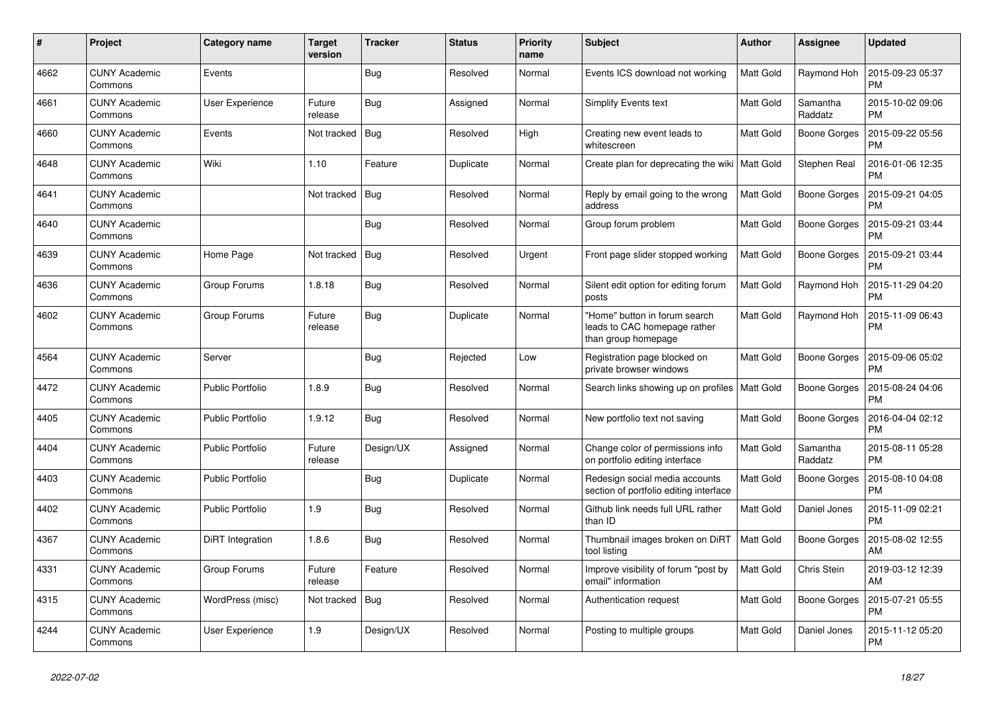| $\pmb{\#}$ | Project                         | Category name           | <b>Target</b><br>version | <b>Tracker</b> | <b>Status</b> | <b>Priority</b><br>name | <b>Subject</b>                                                                       | <b>Author</b>    | <b>Assignee</b>     | Updated                       |
|------------|---------------------------------|-------------------------|--------------------------|----------------|---------------|-------------------------|--------------------------------------------------------------------------------------|------------------|---------------------|-------------------------------|
| 4662       | <b>CUNY Academic</b><br>Commons | Events                  |                          | <b>Bug</b>     | Resolved      | Normal                  | Events ICS download not working                                                      | Matt Gold        | Raymond Hoh         | 2015-09-23 05:37<br><b>PM</b> |
| 4661       | <b>CUNY Academic</b><br>Commons | <b>User Experience</b>  | Future<br>release        | Bug            | Assigned      | Normal                  | Simplify Events text                                                                 | Matt Gold        | Samantha<br>Raddatz | 2015-10-02 09:06<br><b>PM</b> |
| 4660       | <b>CUNY Academic</b><br>Commons | Events                  | Not tracked              | <b>Bug</b>     | Resolved      | High                    | Creating new event leads to<br>whitescreen                                           | Matt Gold        | Boone Gorges        | 2015-09-22 05:56<br>PM        |
| 4648       | <b>CUNY Academic</b><br>Commons | Wiki                    | 1.10                     | Feature        | Duplicate     | Normal                  | Create plan for deprecating the wiki   Matt Gold                                     |                  | <b>Stephen Real</b> | 2016-01-06 12:35<br><b>PM</b> |
| 4641       | <b>CUNY Academic</b><br>Commons |                         | Not tracked              | Bug            | Resolved      | Normal                  | Reply by email going to the wrong<br>address                                         | Matt Gold        | Boone Gorges        | 2015-09-21 04:05<br>РM        |
| 4640       | <b>CUNY Academic</b><br>Commons |                         |                          | Bug            | Resolved      | Normal                  | Group forum problem                                                                  | Matt Gold        | Boone Gorges        | 2015-09-21 03:44<br><b>PM</b> |
| 4639       | <b>CUNY Academic</b><br>Commons | Home Page               | Not tracked              | <b>Bug</b>     | Resolved      | Urgent                  | Front page slider stopped working                                                    | Matt Gold        | Boone Gorges        | 2015-09-21 03:44<br><b>PM</b> |
| 4636       | <b>CUNY Academic</b><br>Commons | Group Forums            | 1.8.18                   | <b>Bug</b>     | Resolved      | Normal                  | Silent edit option for editing forum<br>posts                                        | Matt Gold        | Raymond Hoh         | 2015-11-29 04:20<br><b>PM</b> |
| 4602       | <b>CUNY Academic</b><br>Commons | Group Forums            | Future<br>release        | <b>Bug</b>     | Duplicate     | Normal                  | 'Home" button in forum search<br>leads to CAC homepage rather<br>than group homepage | Matt Gold        | Raymond Hoh         | 2015-11-09 06:43<br><b>PM</b> |
| 4564       | <b>CUNY Academic</b><br>Commons | Server                  |                          | <b>Bug</b>     | Rejected      | Low                     | Registration page blocked on<br>private browser windows                              | Matt Gold        | Boone Gorges        | 2015-09-06 05:02<br><b>PM</b> |
| 4472       | <b>CUNY Academic</b><br>Commons | <b>Public Portfolio</b> | 1.8.9                    | <b>Bug</b>     | Resolved      | Normal                  | Search links showing up on profiles   Matt Gold                                      |                  | Boone Gorges        | 2015-08-24 04:06<br><b>PM</b> |
| 4405       | <b>CUNY Academic</b><br>Commons | <b>Public Portfolio</b> | 1.9.12                   | Bug            | Resolved      | Normal                  | New portfolio text not saving                                                        | Matt Gold        | <b>Boone Gorges</b> | 2016-04-04 02:12<br><b>PM</b> |
| 4404       | <b>CUNY Academic</b><br>Commons | Public Portfolio        | Future<br>release        | Design/UX      | Assigned      | Normal                  | Change color of permissions info<br>on portfolio editing interface                   | Matt Gold        | Samantha<br>Raddatz | 2015-08-11 05:28<br><b>PM</b> |
| 4403       | <b>CUNY Academic</b><br>Commons | <b>Public Portfolio</b> |                          | Bug            | Duplicate     | Normal                  | Redesign social media accounts<br>section of portfolio editing interface             | Matt Gold        | Boone Gorges        | 2015-08-10 04:08<br><b>PM</b> |
| 4402       | <b>CUNY Academic</b><br>Commons | Public Portfolio        | 1.9                      | <b>Bug</b>     | Resolved      | Normal                  | Github link needs full URL rather<br>than ID                                         | Matt Gold        | Daniel Jones        | 2015-11-09 02:21<br><b>PM</b> |
| 4367       | <b>CUNY Academic</b><br>Commons | DiRT Integration        | 1.8.6                    | Bug            | Resolved      | Normal                  | Thumbnail images broken on DiRT<br>tool listing                                      | <b>Matt Gold</b> | <b>Boone Gorges</b> | 2015-08-02 12:55<br>AM        |
| 4331       | <b>CUNY Academic</b><br>Commons | Group Forums            | Future<br>release        | Feature        | Resolved      | Normal                  | Improve visibility of forum "post by<br>email" information                           | Matt Gold        | Chris Stein         | 2019-03-12 12:39<br>AM        |
| 4315       | <b>CUNY Academic</b><br>Commons | WordPress (misc)        | Not tracked              | <b>Bug</b>     | Resolved      | Normal                  | Authentication request                                                               | Matt Gold        | Boone Gorges        | 2015-07-21 05:55<br><b>PM</b> |
| 4244       | <b>CUNY Academic</b><br>Commons | <b>User Experience</b>  | 1.9                      | Design/UX      | Resolved      | Normal                  | Posting to multiple groups                                                           | Matt Gold        | Daniel Jones        | 2015-11-12 05:20<br><b>PM</b> |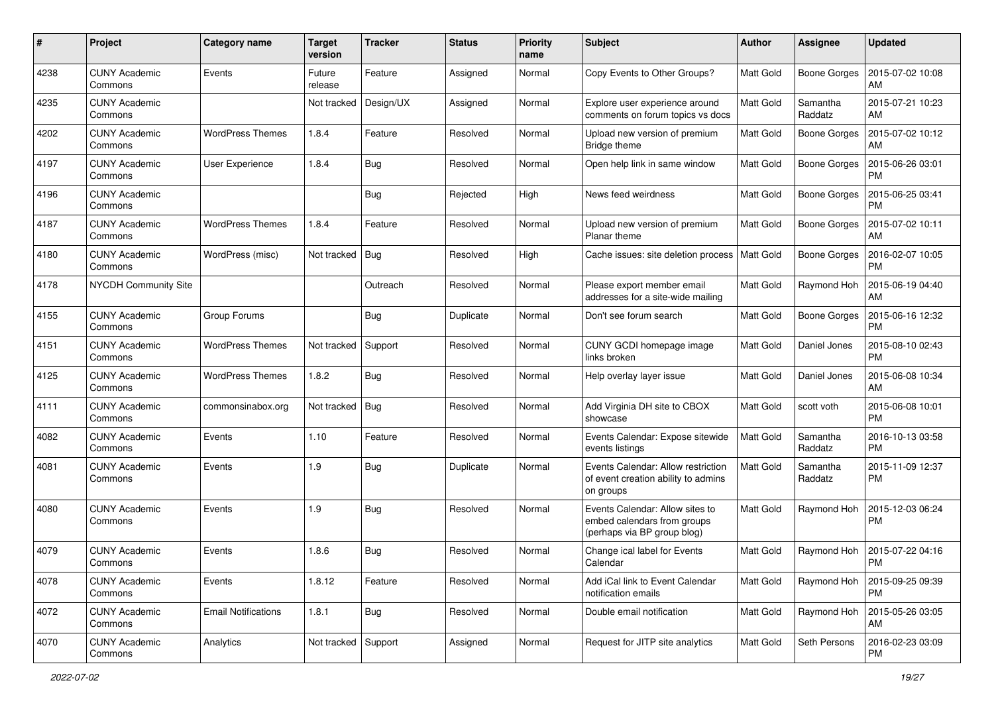| #    | Project                         | <b>Category name</b>       | <b>Target</b><br>version | <b>Tracker</b> | <b>Status</b> | <b>Priority</b><br>name | <b>Subject</b>                                                                                | Author           | <b>Assignee</b>     | <b>Updated</b>                       |
|------|---------------------------------|----------------------------|--------------------------|----------------|---------------|-------------------------|-----------------------------------------------------------------------------------------------|------------------|---------------------|--------------------------------------|
| 4238 | <b>CUNY Academic</b><br>Commons | Events                     | Future<br>release        | Feature        | Assigned      | Normal                  | Copy Events to Other Groups?                                                                  | <b>Matt Gold</b> | <b>Boone Gorges</b> | 2015-07-02 10:08<br>AM               |
| 4235 | <b>CUNY Academic</b><br>Commons |                            | Not tracked              | Design/UX      | Assigned      | Normal                  | Explore user experience around<br>comments on forum topics vs docs                            | <b>Matt Gold</b> | Samantha<br>Raddatz | 2015-07-21 10:23<br>AM               |
| 4202 | <b>CUNY Academic</b><br>Commons | <b>WordPress Themes</b>    | 1.8.4                    | Feature        | Resolved      | Normal                  | Upload new version of premium<br>Bridge theme                                                 | <b>Matt Gold</b> | <b>Boone Gorges</b> | 2015-07-02 10:12<br>AM               |
| 4197 | <b>CUNY Academic</b><br>Commons | User Experience            | 1.8.4                    | Bug            | Resolved      | Normal                  | Open help link in same window                                                                 | <b>Matt Gold</b> | <b>Boone Gorges</b> | 2015-06-26 03:01<br><b>PM</b>        |
| 4196 | <b>CUNY Academic</b><br>Commons |                            |                          | Bug            | Rejected      | High                    | News feed weirdness                                                                           | <b>Matt Gold</b> | Boone Gorges        | 2015-06-25 03:41<br><b>PM</b>        |
| 4187 | <b>CUNY Academic</b><br>Commons | <b>WordPress Themes</b>    | 1.8.4                    | Feature        | Resolved      | Normal                  | Upload new version of premium<br>Planar theme                                                 | Matt Gold        | <b>Boone Gorges</b> | 2015-07-02 10:11<br>AM               |
| 4180 | <b>CUNY Academic</b><br>Commons | WordPress (misc)           | Not tracked              | Bug            | Resolved      | High                    | Cache issues: site deletion process                                                           | Matt Gold        | <b>Boone Gorges</b> | 2016-02-07 10:05<br><b>PM</b>        |
| 4178 | <b>NYCDH Community Site</b>     |                            |                          | Outreach       | Resolved      | Normal                  | Please export member email<br>addresses for a site-wide mailing                               | Matt Gold        | Raymond Hoh         | 2015-06-19 04:40<br>AM               |
| 4155 | <b>CUNY Academic</b><br>Commons | Group Forums               |                          | <b>Bug</b>     | Duplicate     | Normal                  | Don't see forum search                                                                        | <b>Matt Gold</b> | <b>Boone Gorges</b> | 2015-06-16 12:32<br><b>PM</b>        |
| 4151 | <b>CUNY Academic</b><br>Commons | <b>WordPress Themes</b>    | Not tracked              | Support        | Resolved      | Normal                  | CUNY GCDI homepage image<br>links broken                                                      | <b>Matt Gold</b> | Daniel Jones        | 2015-08-10 02:43<br><b>PM</b>        |
| 4125 | <b>CUNY Academic</b><br>Commons | <b>WordPress Themes</b>    | 1.8.2                    | Bug            | Resolved      | Normal                  | Help overlay layer issue                                                                      | <b>Matt Gold</b> | Daniel Jones        | 2015-06-08 10:34<br>AM               |
| 4111 | <b>CUNY Academic</b><br>Commons | commonsinabox.org          | Not tracked              | Bug            | Resolved      | Normal                  | Add Virginia DH site to CBOX<br>showcase                                                      | <b>Matt Gold</b> | scott voth          | 2015-06-08 10:01<br><b>PM</b>        |
| 4082 | <b>CUNY Academic</b><br>Commons | Events                     | 1.10                     | Feature        | Resolved      | Normal                  | Events Calendar: Expose sitewide<br>events listings                                           | Matt Gold        | Samantha<br>Raddatz | 2016-10-13 03:58<br><b>PM</b>        |
| 4081 | <b>CUNY Academic</b><br>Commons | Events                     | 1.9                      | Bug            | Duplicate     | Normal                  | Events Calendar: Allow restriction<br>of event creation ability to admins<br>on groups        | Matt Gold        | Samantha<br>Raddatz | 2015-11-09 12:37<br>PM               |
| 4080 | <b>CUNY Academic</b><br>Commons | Events                     | 1.9                      | Bug            | Resolved      | Normal                  | Events Calendar: Allow sites to<br>embed calendars from groups<br>(perhaps via BP group blog) | <b>Matt Gold</b> | Raymond Hoh         | 2015-12-03 06:24<br><b>PM</b>        |
| 4079 | <b>CUNY Academic</b><br>Commons | Events                     | 1.8.6                    | Bug            | Resolved      | Normal                  | Change ical label for Events<br>Calendar                                                      | Matt Gold        |                     | Raymond Hoh   2015-07-22 04:16<br>PM |
| 4078 | <b>CUNY Academic</b><br>Commons | Events                     | 1.8.12                   | Feature        | Resolved      | Normal                  | Add iCal link to Event Calendar<br>notification emails                                        | Matt Gold        | Raymond Hoh         | 2015-09-25 09:39<br>PM               |
| 4072 | <b>CUNY Academic</b><br>Commons | <b>Email Notifications</b> | 1.8.1                    | Bug            | Resolved      | Normal                  | Double email notification                                                                     | Matt Gold        | Raymond Hoh         | 2015-05-26 03:05<br>AM               |
| 4070 | <b>CUNY Academic</b><br>Commons | Analytics                  | Not tracked Support      |                | Assigned      | Normal                  | Request for JITP site analytics                                                               | Matt Gold        | Seth Persons        | 2016-02-23 03:09<br>PM               |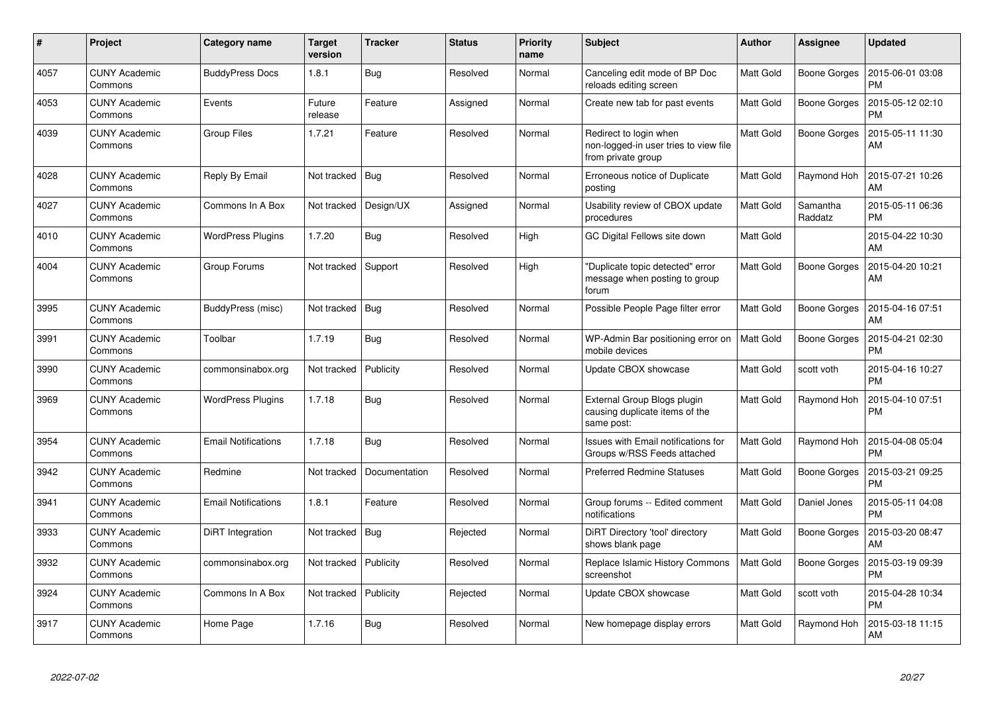| $\pmb{\#}$ | Project                         | Category name              | <b>Target</b><br>version | <b>Tracker</b> | <b>Status</b> | <b>Priority</b><br>name | <b>Subject</b>                                                                        | <b>Author</b>    | <b>Assignee</b>     | <b>Updated</b>                |
|------------|---------------------------------|----------------------------|--------------------------|----------------|---------------|-------------------------|---------------------------------------------------------------------------------------|------------------|---------------------|-------------------------------|
| 4057       | <b>CUNY Academic</b><br>Commons | <b>BuddyPress Docs</b>     | 1.8.1                    | <b>Bug</b>     | Resolved      | Normal                  | Canceling edit mode of BP Doc<br>reloads editing screen                               | Matt Gold        | Boone Gorges        | 2015-06-01 03:08<br><b>PM</b> |
| 4053       | CUNY Academic<br>Commons        | Events                     | Future<br>release        | Feature        | Assigned      | Normal                  | Create new tab for past events                                                        | Matt Gold        | Boone Gorges        | 2015-05-12 02:10<br><b>PM</b> |
| 4039       | <b>CUNY Academic</b><br>Commons | <b>Group Files</b>         | 1.7.21                   | Feature        | Resolved      | Normal                  | Redirect to login when<br>non-logged-in user tries to view file<br>from private group | Matt Gold        | Boone Gorges        | 2015-05-11 11:30<br>AM        |
| 4028       | <b>CUNY Academic</b><br>Commons | Reply By Email             | Not tracked              | Bug            | Resolved      | Normal                  | Erroneous notice of Duplicate<br>posting                                              | Matt Gold        | Raymond Hoh         | 2015-07-21 10:26<br>AM        |
| 4027       | <b>CUNY Academic</b><br>Commons | Commons In A Box           | Not tracked              | Design/UX      | Assigned      | Normal                  | Usability review of CBOX update<br>procedures                                         | Matt Gold        | Samantha<br>Raddatz | 2015-05-11 06:36<br><b>PM</b> |
| 4010       | <b>CUNY Academic</b><br>Commons | <b>WordPress Plugins</b>   | 1.7.20                   | <b>Bug</b>     | Resolved      | High                    | GC Digital Fellows site down                                                          | Matt Gold        |                     | 2015-04-22 10:30<br>AM        |
| 4004       | CUNY Academic<br>Commons        | Group Forums               | Not tracked              | Support        | Resolved      | High                    | 'Duplicate topic detected" error<br>message when posting to group<br>forum            | Matt Gold        | Boone Gorges        | 2015-04-20 10:21<br>AM        |
| 3995       | <b>CUNY Academic</b><br>Commons | BuddyPress (misc)          | Not tracked              | Bug            | Resolved      | Normal                  | Possible People Page filter error                                                     | Matt Gold        | Boone Gorges        | 2015-04-16 07:51<br>AM        |
| 3991       | <b>CUNY Academic</b><br>Commons | Toolbar                    | 1.7.19                   | <b>Bug</b>     | Resolved      | Normal                  | WP-Admin Bar positioning error on<br>mobile devices                                   | <b>Matt Gold</b> | Boone Gorges        | 2015-04-21 02:30<br>PM        |
| 3990       | <b>CUNY Academic</b><br>Commons | commonsinabox.org          | Not tracked              | Publicity      | Resolved      | Normal                  | Update CBOX showcase                                                                  | Matt Gold        | scott voth          | 2015-04-16 10:27<br><b>PM</b> |
| 3969       | <b>CUNY Academic</b><br>Commons | <b>WordPress Plugins</b>   | 1.7.18                   | <b>Bug</b>     | Resolved      | Normal                  | External Group Blogs plugin<br>causing duplicate items of the<br>same post:           | Matt Gold        | Raymond Hoh         | 2015-04-10 07:51<br><b>PM</b> |
| 3954       | <b>CUNY Academic</b><br>Commons | <b>Email Notifications</b> | 1.7.18                   | <b>Bug</b>     | Resolved      | Normal                  | <b>Issues with Email notifications for</b><br>Groups w/RSS Feeds attached             | Matt Gold        | Raymond Hoh         | 2015-04-08 05:04<br><b>PM</b> |
| 3942       | <b>CUNY Academic</b><br>Commons | Redmine                    | Not tracked              | Documentation  | Resolved      | Normal                  | <b>Preferred Redmine Statuses</b>                                                     | Matt Gold        | Boone Gorges        | 2015-03-21 09:25<br><b>PM</b> |
| 3941       | <b>CUNY Academic</b><br>Commons | <b>Email Notifications</b> | 1.8.1                    | Feature        | Resolved      | Normal                  | Group forums -- Edited comment<br>notifications                                       | Matt Gold        | Daniel Jones        | 2015-05-11 04:08<br><b>PM</b> |
| 3933       | <b>CUNY Academic</b><br>Commons | DiRT Integration           | Not tracked              | Bug            | Rejected      | Normal                  | DiRT Directory 'tool' directory<br>shows blank page                                   | Matt Gold        | Boone Gorges        | 2015-03-20 08:47<br>AM        |
| 3932       | <b>CUNY Academic</b><br>Commons | commonsinabox.org          | Not tracked              | Publicity      | Resolved      | Normal                  | Replace Islamic History Commons<br>screenshot                                         | Matt Gold        | Boone Gorges        | 2015-03-19 09:39<br><b>PM</b> |
| 3924       | <b>CUNY Academic</b><br>Commons | Commons In A Box           | Not tracked              | Publicity      | Rejected      | Normal                  | Update CBOX showcase                                                                  | Matt Gold        | scott voth          | 2015-04-28 10:34<br><b>PM</b> |
| 3917       | <b>CUNY Academic</b><br>Commons | Home Page                  | 1.7.16                   | <b>Bug</b>     | Resolved      | Normal                  | New homepage display errors                                                           | Matt Gold        | Raymond Hoh         | 2015-03-18 11:15<br>AM        |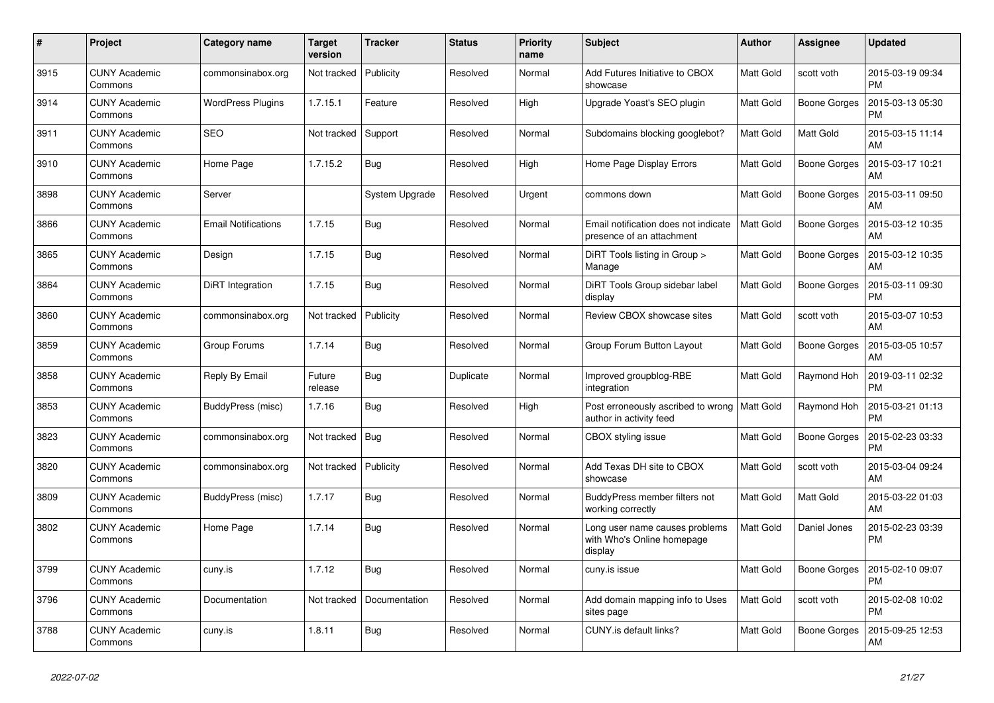| #    | Project                         | Category name              | <b>Target</b><br>version | <b>Tracker</b> | <b>Status</b> | <b>Priority</b><br>name | <b>Subject</b>                                                          | <b>Author</b>    | Assignee            | <b>Updated</b>                |
|------|---------------------------------|----------------------------|--------------------------|----------------|---------------|-------------------------|-------------------------------------------------------------------------|------------------|---------------------|-------------------------------|
| 3915 | <b>CUNY Academic</b><br>Commons | commonsinabox.org          | Not tracked              | Publicity      | Resolved      | Normal                  | Add Futures Initiative to CBOX<br>showcase                              | <b>Matt Gold</b> | scott voth          | 2015-03-19 09:34<br><b>PM</b> |
| 3914 | <b>CUNY Academic</b><br>Commons | <b>WordPress Plugins</b>   | 1.7.15.1                 | Feature        | Resolved      | High                    | Upgrade Yoast's SEO plugin                                              | Matt Gold        | <b>Boone Gorges</b> | 2015-03-13 05:30<br><b>PM</b> |
| 3911 | <b>CUNY Academic</b><br>Commons | <b>SEO</b>                 | Not tracked              | Support        | Resolved      | Normal                  | Subdomains blocking googlebot?                                          | Matt Gold        | Matt Gold           | 2015-03-15 11:14<br>AM        |
| 3910 | <b>CUNY Academic</b><br>Commons | Home Page                  | 1.7.15.2                 | <b>Bug</b>     | Resolved      | High                    | Home Page Display Errors                                                | Matt Gold        | Boone Gorges        | 2015-03-17 10:21<br>AM        |
| 3898 | <b>CUNY Academic</b><br>Commons | Server                     |                          | System Upgrade | Resolved      | Urgent                  | commons down                                                            | Matt Gold        | <b>Boone Gorges</b> | 2015-03-11 09:50<br>AM        |
| 3866 | <b>CUNY Academic</b><br>Commons | <b>Email Notifications</b> | 1.7.15                   | Bug            | Resolved      | Normal                  | Email notification does not indicate<br>presence of an attachment       | <b>Matt Gold</b> | Boone Gorges        | 2015-03-12 10:35<br>AM        |
| 3865 | <b>CUNY Academic</b><br>Commons | Design                     | 1.7.15                   | Bug            | Resolved      | Normal                  | DiRT Tools listing in Group ><br>Manage                                 | <b>Matt Gold</b> | Boone Gorges        | 2015-03-12 10:35<br>AM        |
| 3864 | <b>CUNY Academic</b><br>Commons | DiRT Integration           | 1.7.15                   | Bug            | Resolved      | Normal                  | DiRT Tools Group sidebar label<br>display                               | Matt Gold        | <b>Boone Gorges</b> | 2015-03-11 09:30<br><b>PM</b> |
| 3860 | <b>CUNY Academic</b><br>Commons | commonsinabox.org          | Not tracked              | Publicity      | Resolved      | Normal                  | Review CBOX showcase sites                                              | Matt Gold        | scott voth          | 2015-03-07 10:53<br>AM        |
| 3859 | <b>CUNY Academic</b><br>Commons | Group Forums               | 1.7.14                   | <b>Bug</b>     | Resolved      | Normal                  | Group Forum Button Layout                                               | <b>Matt Gold</b> | Boone Gorges        | 2015-03-05 10:57<br>AM        |
| 3858 | <b>CUNY Academic</b><br>Commons | Reply By Email             | Future<br>release        | Bug            | Duplicate     | Normal                  | Improved groupblog-RBE<br>integration                                   | Matt Gold        | Raymond Hoh         | 2019-03-11 02:32<br><b>PM</b> |
| 3853 | <b>CUNY Academic</b><br>Commons | BuddyPress (misc)          | 1.7.16                   | <b>Bug</b>     | Resolved      | High                    | Post erroneously ascribed to wrong<br>author in activity feed           | Matt Gold        | Raymond Hoh         | 2015-03-21 01:13<br><b>PM</b> |
| 3823 | <b>CUNY Academic</b><br>Commons | commonsinabox.org          | Not tracked              | Bug            | Resolved      | Normal                  | CBOX styling issue                                                      | Matt Gold        | Boone Gorges        | 2015-02-23 03:33<br><b>PM</b> |
| 3820 | <b>CUNY Academic</b><br>Commons | commonsinabox.org          | Not tracked              | Publicity      | Resolved      | Normal                  | Add Texas DH site to CBOX<br>showcase                                   | Matt Gold        | scott voth          | 2015-03-04 09:24<br>AM        |
| 3809 | <b>CUNY Academic</b><br>Commons | BuddyPress (misc)          | 1.7.17                   | Bug            | Resolved      | Normal                  | BuddyPress member filters not<br>working correctly                      | <b>Matt Gold</b> | Matt Gold           | 2015-03-22 01:03<br>AM        |
| 3802 | <b>CUNY Academic</b><br>Commons | Home Page                  | 1.7.14                   | Bug            | Resolved      | Normal                  | Long user name causes problems<br>with Who's Online homepage<br>display | Matt Gold        | Daniel Jones        | 2015-02-23 03:39<br><b>PM</b> |
| 3799 | <b>CUNY Academic</b><br>Commons | cuny.is                    | 1.7.12                   | <b>Bug</b>     | Resolved      | Normal                  | cuny.is issue                                                           | <b>Matt Gold</b> | Boone Gorges        | 2015-02-10 09:07<br><b>PM</b> |
| 3796 | <b>CUNY Academic</b><br>Commons | Documentation              | Not tracked              | Documentation  | Resolved      | Normal                  | Add domain mapping info to Uses<br>sites page                           | <b>Matt Gold</b> | scott voth          | 2015-02-08 10:02<br><b>PM</b> |
| 3788 | <b>CUNY Academic</b><br>Commons | cuny.is                    | 1.8.11                   | Bug            | Resolved      | Normal                  | CUNY.is default links?                                                  | Matt Gold        | <b>Boone Gorges</b> | 2015-09-25 12:53<br>AM        |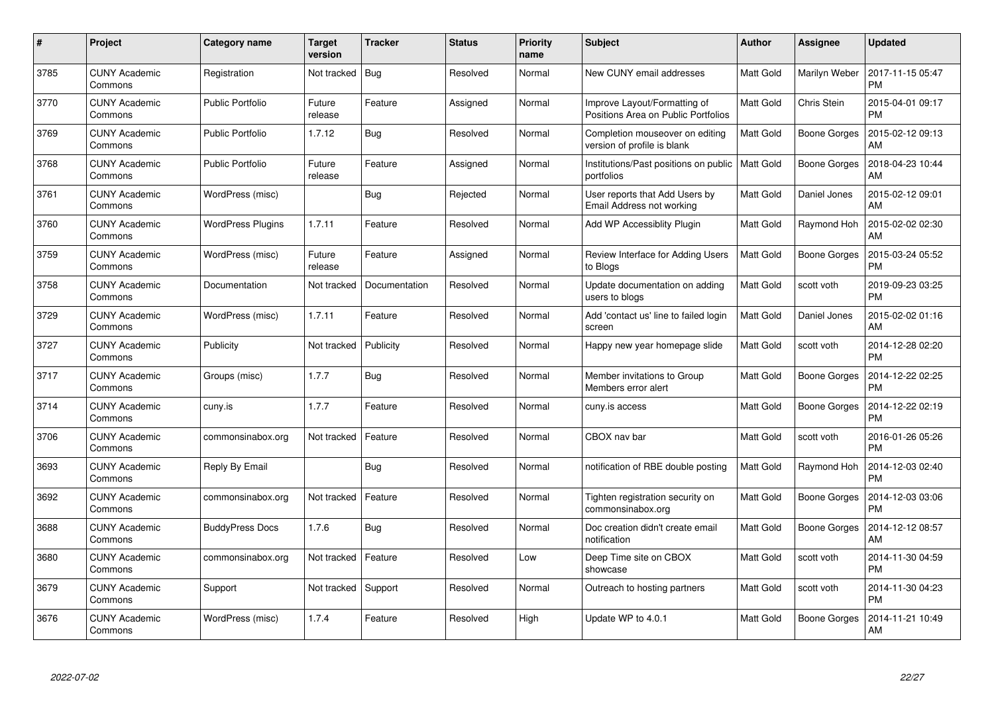| #    | Project                         | Category name            | <b>Target</b><br>version | <b>Tracker</b> | <b>Status</b> | <b>Priority</b><br>name | <b>Subject</b>                                                      | <b>Author</b>    | Assignee            | <b>Updated</b>                |
|------|---------------------------------|--------------------------|--------------------------|----------------|---------------|-------------------------|---------------------------------------------------------------------|------------------|---------------------|-------------------------------|
| 3785 | <b>CUNY Academic</b><br>Commons | Registration             | Not tracked              | Bug            | Resolved      | Normal                  | New CUNY email addresses                                            | Matt Gold        | Marilyn Weber       | 2017-11-15 05:47<br><b>PM</b> |
| 3770 | <b>CUNY Academic</b><br>Commons | <b>Public Portfolio</b>  | Future<br>release        | Feature        | Assigned      | Normal                  | Improve Layout/Formatting of<br>Positions Area on Public Portfolios | <b>Matt Gold</b> | Chris Stein         | 2015-04-01 09:17<br><b>PM</b> |
| 3769 | <b>CUNY Academic</b><br>Commons | <b>Public Portfolio</b>  | 1.7.12                   | Bug            | Resolved      | Normal                  | Completion mouseover on editing<br>version of profile is blank      | Matt Gold        | <b>Boone Gorges</b> | 2015-02-12 09:13<br>AM        |
| 3768 | <b>CUNY Academic</b><br>Commons | <b>Public Portfolio</b>  | Future<br>release        | Feature        | Assigned      | Normal                  | Institutions/Past positions on public<br>portfolios                 | Matt Gold        | Boone Gorges        | 2018-04-23 10:44<br>AM        |
| 3761 | <b>CUNY Academic</b><br>Commons | WordPress (misc)         |                          | Bug            | Rejected      | Normal                  | User reports that Add Users by<br>Email Address not working         | <b>Matt Gold</b> | Daniel Jones        | 2015-02-12 09:01<br>AM        |
| 3760 | <b>CUNY Academic</b><br>Commons | <b>WordPress Plugins</b> | 1.7.11                   | Feature        | Resolved      | Normal                  | Add WP Accessiblity Plugin                                          | Matt Gold        | Raymond Hoh         | 2015-02-02 02:30<br>AM        |
| 3759 | <b>CUNY Academic</b><br>Commons | WordPress (misc)         | Future<br>release        | Feature        | Assigned      | Normal                  | Review Interface for Adding Users<br>to Blogs                       | <b>Matt Gold</b> | <b>Boone Gorges</b> | 2015-03-24 05:52<br><b>PM</b> |
| 3758 | <b>CUNY Academic</b><br>Commons | Documentation            | Not tracked              | Documentation  | Resolved      | Normal                  | Update documentation on adding<br>users to blogs                    | Matt Gold        | scott voth          | 2019-09-23 03:25<br><b>PM</b> |
| 3729 | <b>CUNY Academic</b><br>Commons | WordPress (misc)         | 1.7.11                   | Feature        | Resolved      | Normal                  | Add 'contact us' line to failed login<br>screen                     | <b>Matt Gold</b> | Daniel Jones        | 2015-02-02 01:16<br>AM        |
| 3727 | <b>CUNY Academic</b><br>Commons | Publicity                | Not tracked              | Publicity      | Resolved      | Normal                  | Happy new year homepage slide                                       | Matt Gold        | scott voth          | 2014-12-28 02:20<br><b>PM</b> |
| 3717 | <b>CUNY Academic</b><br>Commons | Groups (misc)            | 1.7.7                    | Bug            | Resolved      | Normal                  | Member invitations to Group<br>Members error alert                  | Matt Gold        | <b>Boone Gorges</b> | 2014-12-22 02:25<br><b>PM</b> |
| 3714 | <b>CUNY Academic</b><br>Commons | cuny.is                  | 1.7.7                    | Feature        | Resolved      | Normal                  | cuny.is access                                                      | Matt Gold        | Boone Gorges        | 2014-12-22 02:19<br><b>PM</b> |
| 3706 | <b>CUNY Academic</b><br>Commons | commonsinabox.org        | Not tracked              | Feature        | Resolved      | Normal                  | CBOX nav bar                                                        | Matt Gold        | scott voth          | 2016-01-26 05:26<br><b>PM</b> |
| 3693 | <b>CUNY Academic</b><br>Commons | Reply By Email           |                          | Bug            | Resolved      | Normal                  | notification of RBE double posting                                  | Matt Gold        | Raymond Hoh         | 2014-12-03 02:40<br><b>PM</b> |
| 3692 | <b>CUNY Academic</b><br>Commons | commonsinabox.org        | Not tracked              | Feature        | Resolved      | Normal                  | Tighten registration security on<br>commonsinabox.org               | Matt Gold        | Boone Gorges        | 2014-12-03 03:06<br><b>PM</b> |
| 3688 | <b>CUNY Academic</b><br>Commons | <b>BuddyPress Docs</b>   | 1.7.6                    | <b>Bug</b>     | Resolved      | Normal                  | Doc creation didn't create email<br>notification                    | Matt Gold        | Boone Gorges        | 2014-12-12 08:57<br>AM        |
| 3680 | <b>CUNY Academic</b><br>Commons | commonsinabox.org        | Not tracked              | Feature        | Resolved      | Low                     | Deep Time site on CBOX<br>showcase                                  | Matt Gold        | scott voth          | 2014-11-30 04:59<br><b>PM</b> |
| 3679 | <b>CUNY Academic</b><br>Commons | Support                  | Not tracked              | Support        | Resolved      | Normal                  | Outreach to hosting partners                                        | Matt Gold        | scott voth          | 2014-11-30 04:23<br><b>PM</b> |
| 3676 | CUNY Academic<br>Commons        | WordPress (misc)         | 1.7.4                    | Feature        | Resolved      | High                    | Update WP to 4.0.1                                                  | <b>Matt Gold</b> | Boone Gorges        | 2014-11-21 10:49<br>AM        |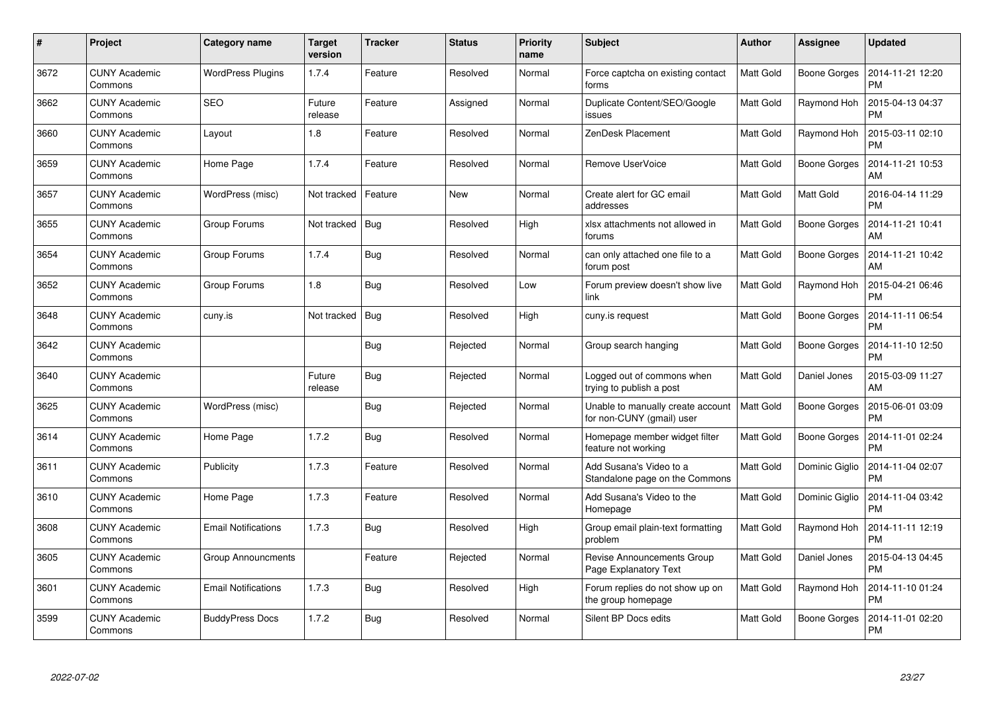| #    | Project                         | Category name              | <b>Target</b><br>version | <b>Tracker</b> | <b>Status</b> | <b>Priority</b><br>name | <b>Subject</b>                                                 | <b>Author</b>    | Assignee            | <b>Updated</b>                |
|------|---------------------------------|----------------------------|--------------------------|----------------|---------------|-------------------------|----------------------------------------------------------------|------------------|---------------------|-------------------------------|
| 3672 | <b>CUNY Academic</b><br>Commons | <b>WordPress Plugins</b>   | 1.7.4                    | Feature        | Resolved      | Normal                  | Force captcha on existing contact<br>forms                     | <b>Matt Gold</b> | <b>Boone Gorges</b> | 2014-11-21 12:20<br><b>PM</b> |
| 3662 | <b>CUNY Academic</b><br>Commons | <b>SEO</b>                 | Future<br>release        | Feature        | Assigned      | Normal                  | Duplicate Content/SEO/Google<br>issues                         | Matt Gold        | Raymond Hoh         | 2015-04-13 04:37<br><b>PM</b> |
| 3660 | <b>CUNY Academic</b><br>Commons | Layout                     | 1.8                      | Feature        | Resolved      | Normal                  | ZenDesk Placement                                              | <b>Matt Gold</b> | Raymond Hoh         | 2015-03-11 02:10<br><b>PM</b> |
| 3659 | <b>CUNY Academic</b><br>Commons | Home Page                  | 1.7.4                    | Feature        | Resolved      | Normal                  | Remove UserVoice                                               | Matt Gold        | Boone Gorges        | 2014-11-21 10:53<br>AM        |
| 3657 | <b>CUNY Academic</b><br>Commons | WordPress (misc)           | Not tracked              | Feature        | <b>New</b>    | Normal                  | Create alert for GC email<br>addresses                         | <b>Matt Gold</b> | Matt Gold           | 2016-04-14 11:29<br><b>PM</b> |
| 3655 | <b>CUNY Academic</b><br>Commons | Group Forums               | Not tracked              | Bug            | Resolved      | High                    | xlsx attachments not allowed in<br>forums                      | Matt Gold        | Boone Gorges        | 2014-11-21 10:41<br>AM        |
| 3654 | <b>CUNY Academic</b><br>Commons | Group Forums               | 1.7.4                    | <b>Bug</b>     | Resolved      | Normal                  | can only attached one file to a<br>forum post                  | Matt Gold        | Boone Gorges        | 2014-11-21 10:42<br>AM        |
| 3652 | <b>CUNY Academic</b><br>Commons | Group Forums               | 1.8                      | Bug            | Resolved      | Low                     | Forum preview doesn't show live<br>link                        | Matt Gold        | Raymond Hoh         | 2015-04-21 06:46<br><b>PM</b> |
| 3648 | <b>CUNY Academic</b><br>Commons | cuny.is                    | Not tracked              | Bug            | Resolved      | High                    | cuny.is request                                                | Matt Gold        | <b>Boone Gorges</b> | 2014-11-11 06:54<br><b>PM</b> |
| 3642 | <b>CUNY Academic</b><br>Commons |                            |                          | <b>Bug</b>     | Rejected      | Normal                  | Group search hanging                                           | Matt Gold        | Boone Gorges        | 2014-11-10 12:50<br><b>PM</b> |
| 3640 | <b>CUNY Academic</b><br>Commons |                            | Future<br>release        | <b>Bug</b>     | Rejected      | Normal                  | Logged out of commons when<br>trying to publish a post         | Matt Gold        | Daniel Jones        | 2015-03-09 11:27<br>AM        |
| 3625 | <b>CUNY Academic</b><br>Commons | WordPress (misc)           |                          | <b>Bug</b>     | Rejected      | Normal                  | Unable to manually create account<br>for non-CUNY (gmail) user | Matt Gold        | <b>Boone Gorges</b> | 2015-06-01 03:09<br><b>PM</b> |
| 3614 | <b>CUNY Academic</b><br>Commons | Home Page                  | 1.7.2                    | Bug            | Resolved      | Normal                  | Homepage member widget filter<br>feature not working           | Matt Gold        | Boone Gorges        | 2014-11-01 02:24<br><b>PM</b> |
| 3611 | <b>CUNY Academic</b><br>Commons | Publicity                  | 1.7.3                    | Feature        | Resolved      | Normal                  | Add Susana's Video to a<br>Standalone page on the Commons      | Matt Gold        | Dominic Giglio      | 2014-11-04 02:07<br><b>PM</b> |
| 3610 | <b>CUNY Academic</b><br>Commons | Home Page                  | 1.7.3                    | Feature        | Resolved      | Normal                  | Add Susana's Video to the<br>Homepage                          | Matt Gold        | Dominic Giglio      | 2014-11-04 03:42<br><b>PM</b> |
| 3608 | <b>CUNY Academic</b><br>Commons | <b>Email Notifications</b> | 1.7.3                    | Bug            | Resolved      | High                    | Group email plain-text formatting<br>problem                   | Matt Gold        | Raymond Hoh         | 2014-11-11 12:19<br><b>PM</b> |
| 3605 | <b>CUNY Academic</b><br>Commons | <b>Group Announcments</b>  |                          | Feature        | Rejected      | Normal                  | <b>Revise Announcements Group</b><br>Page Explanatory Text     | Matt Gold        | Daniel Jones        | 2015-04-13 04:45<br><b>PM</b> |
| 3601 | <b>CUNY Academic</b><br>Commons | <b>Email Notifications</b> | 1.7.3                    | <b>Bug</b>     | Resolved      | High                    | Forum replies do not show up on<br>the group homepage          | Matt Gold        | Raymond Hoh         | 2014-11-10 01:24<br><b>PM</b> |
| 3599 | CUNY Academic<br>Commons        | <b>BuddyPress Docs</b>     | 1.7.2                    | <b>Bug</b>     | Resolved      | Normal                  | Silent BP Docs edits                                           | Matt Gold        | Boone Gorges        | 2014-11-01 02:20<br><b>PM</b> |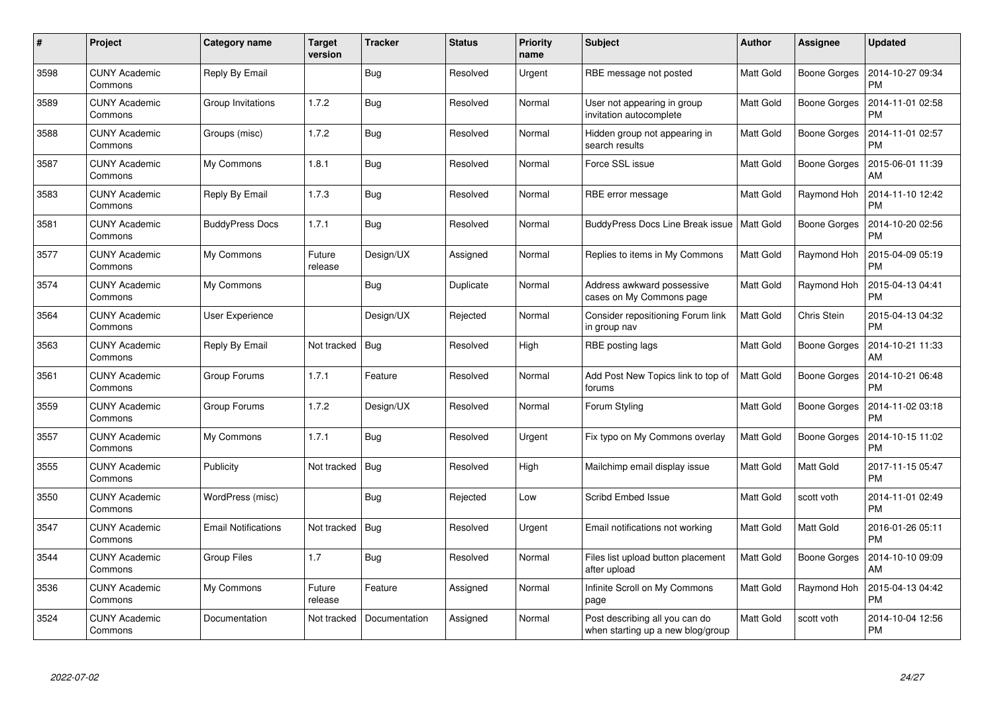| #    | Project                         | <b>Category name</b>       | Target<br>version | <b>Tracker</b> | <b>Status</b> | Priority<br>name | <b>Subject</b>                                                      | <b>Author</b>    | Assignee            | <b>Updated</b>                |
|------|---------------------------------|----------------------------|-------------------|----------------|---------------|------------------|---------------------------------------------------------------------|------------------|---------------------|-------------------------------|
| 3598 | <b>CUNY Academic</b><br>Commons | Reply By Email             |                   | <b>Bug</b>     | Resolved      | Urgent           | RBE message not posted                                              | <b>Matt Gold</b> | <b>Boone Gorges</b> | 2014-10-27 09:34<br><b>PM</b> |
| 3589 | <b>CUNY Academic</b><br>Commons | Group Invitations          | 1.7.2             | Bug            | Resolved      | Normal           | User not appearing in group<br>invitation autocomplete              | Matt Gold        | <b>Boone Gorges</b> | 2014-11-01 02:58<br><b>PM</b> |
| 3588 | <b>CUNY Academic</b><br>Commons | Groups (misc)              | 1.7.2             | <b>Bug</b>     | Resolved      | Normal           | Hidden group not appearing in<br>search results                     | <b>Matt Gold</b> | <b>Boone Gorges</b> | 2014-11-01 02:57<br><b>PM</b> |
| 3587 | <b>CUNY Academic</b><br>Commons | My Commons                 | 1.8.1             | <b>Bug</b>     | Resolved      | Normal           | Force SSL issue                                                     | Matt Gold        | Boone Gorges        | 2015-06-01 11:39<br>AM        |
| 3583 | <b>CUNY Academic</b><br>Commons | Reply By Email             | 1.7.3             | Bug            | Resolved      | Normal           | RBE error message                                                   | Matt Gold        | Raymond Hoh         | 2014-11-10 12:42<br><b>PM</b> |
| 3581 | <b>CUNY Academic</b><br>Commons | <b>BuddyPress Docs</b>     | 1.7.1             | Bug            | Resolved      | Normal           | BuddyPress Docs Line Break issue                                    | Matt Gold        | Boone Gorges        | 2014-10-20 02:56<br><b>PM</b> |
| 3577 | <b>CUNY Academic</b><br>Commons | My Commons                 | Future<br>release | Design/UX      | Assigned      | Normal           | Replies to items in My Commons                                      | <b>Matt Gold</b> | Raymond Hoh         | 2015-04-09 05:19<br><b>PM</b> |
| 3574 | <b>CUNY Academic</b><br>Commons | My Commons                 |                   | <b>Bug</b>     | Duplicate     | Normal           | Address awkward possessive<br>cases on My Commons page              | Matt Gold        | Raymond Hoh         | 2015-04-13 04:41<br><b>PM</b> |
| 3564 | <b>CUNY Academic</b><br>Commons | User Experience            |                   | Design/UX      | Rejected      | Normal           | Consider repositioning Forum link<br>in group nav                   | Matt Gold        | Chris Stein         | 2015-04-13 04:32<br><b>PM</b> |
| 3563 | <b>CUNY Academic</b><br>Commons | Reply By Email             | Not tracked       | Bug            | Resolved      | High             | RBE posting lags                                                    | Matt Gold        | Boone Gorges        | 2014-10-21 11:33<br>AM        |
| 3561 | <b>CUNY Academic</b><br>Commons | Group Forums               | 1.7.1             | Feature        | Resolved      | Normal           | Add Post New Topics link to top of<br>forums                        | Matt Gold        | <b>Boone Gorges</b> | 2014-10-21 06:48<br><b>PM</b> |
| 3559 | <b>CUNY Academic</b><br>Commons | Group Forums               | 1.7.2             | Design/UX      | Resolved      | Normal           | Forum Styling                                                       | Matt Gold        | Boone Gorges        | 2014-11-02 03:18<br><b>PM</b> |
| 3557 | <b>CUNY Academic</b><br>Commons | My Commons                 | 1.7.1             | <b>Bug</b>     | Resolved      | Urgent           | Fix typo on My Commons overlay                                      | Matt Gold        | <b>Boone Gorges</b> | 2014-10-15 11:02<br><b>PM</b> |
| 3555 | <b>CUNY Academic</b><br>Commons | Publicity                  | Not tracked       | Bug            | Resolved      | High             | Mailchimp email display issue                                       | Matt Gold        | Matt Gold           | 2017-11-15 05:47<br><b>PM</b> |
| 3550 | <b>CUNY Academic</b><br>Commons | WordPress (misc)           |                   | <b>Bug</b>     | Rejected      | Low              | Scribd Embed Issue                                                  | Matt Gold        | scott voth          | 2014-11-01 02:49<br><b>PM</b> |
| 3547 | <b>CUNY Academic</b><br>Commons | <b>Email Notifications</b> | Not tracked       | Bug            | Resolved      | Urgent           | Email notifications not working                                     | Matt Gold        | Matt Gold           | 2016-01-26 05:11<br><b>PM</b> |
| 3544 | <b>CUNY Academic</b><br>Commons | <b>Group Files</b>         | 1.7               | Bug            | Resolved      | Normal           | Files list upload button placement<br>after upload                  | Matt Gold        | Boone Gorges        | 2014-10-10 09:09<br>AM        |
| 3536 | <b>CUNY Academic</b><br>Commons | My Commons                 | Future<br>release | Feature        | Assigned      | Normal           | Infinite Scroll on My Commons<br>page                               | Matt Gold        | Raymond Hoh         | 2015-04-13 04:42<br><b>PM</b> |
| 3524 | <b>CUNY Academic</b><br>Commons | Documentation              | Not tracked       | Documentation  | Assigned      | Normal           | Post describing all you can do<br>when starting up a new blog/group | Matt Gold        | scott voth          | 2014-10-04 12:56<br><b>PM</b> |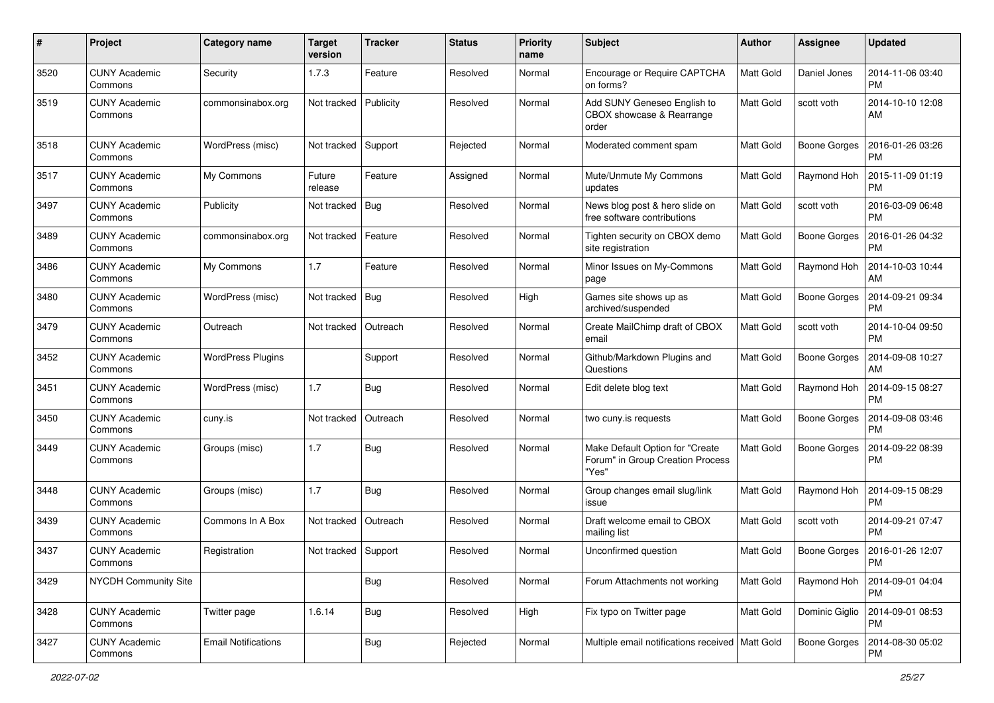| #    | Project                         | Category name              | <b>Target</b><br>version | <b>Tracker</b> | <b>Status</b> | <b>Priority</b><br>name | Subject                                                                      | Author           | Assignee            | <b>Updated</b>                |
|------|---------------------------------|----------------------------|--------------------------|----------------|---------------|-------------------------|------------------------------------------------------------------------------|------------------|---------------------|-------------------------------|
| 3520 | <b>CUNY Academic</b><br>Commons | Security                   | 1.7.3                    | Feature        | Resolved      | Normal                  | Encourage or Require CAPTCHA<br>on forms?                                    | <b>Matt Gold</b> | Daniel Jones        | 2014-11-06 03:40<br><b>PM</b> |
| 3519 | <b>CUNY Academic</b><br>Commons | commonsinabox.org          | Not tracked              | Publicity      | Resolved      | Normal                  | Add SUNY Geneseo English to<br>CBOX showcase & Rearrange<br>order            | <b>Matt Gold</b> | scott voth          | 2014-10-10 12:08<br>AM        |
| 3518 | <b>CUNY Academic</b><br>Commons | WordPress (misc)           | Not tracked              | Support        | Rejected      | Normal                  | Moderated comment spam                                                       | Matt Gold        | <b>Boone Gorges</b> | 2016-01-26 03:26<br><b>PM</b> |
| 3517 | <b>CUNY Academic</b><br>Commons | My Commons                 | Future<br>release        | Feature        | Assigned      | Normal                  | Mute/Unmute My Commons<br>updates                                            | <b>Matt Gold</b> | Raymond Hoh         | 2015-11-09 01:19<br><b>PM</b> |
| 3497 | <b>CUNY Academic</b><br>Commons | Publicity                  | Not tracked              | Bug            | Resolved      | Normal                  | News blog post & hero slide on<br>free software contributions                | Matt Gold        | scott voth          | 2016-03-09 06:48<br><b>PM</b> |
| 3489 | <b>CUNY Academic</b><br>Commons | commonsinabox.org          | Not tracked              | Feature        | Resolved      | Normal                  | Tighten security on CBOX demo<br>site registration                           | Matt Gold        | <b>Boone Gorges</b> | 2016-01-26 04:32<br><b>PM</b> |
| 3486 | <b>CUNY Academic</b><br>Commons | My Commons                 | 1.7                      | Feature        | Resolved      | Normal                  | Minor Issues on My-Commons<br>page                                           | <b>Matt Gold</b> | Raymond Hoh         | 2014-10-03 10:44<br>AM        |
| 3480 | <b>CUNY Academic</b><br>Commons | WordPress (misc)           | Not tracked              | Bug            | Resolved      | High                    | Games site shows up as<br>archived/suspended                                 | <b>Matt Gold</b> | <b>Boone Gorges</b> | 2014-09-21 09:34<br>PM        |
| 3479 | <b>CUNY Academic</b><br>Commons | Outreach                   | Not tracked              | Outreach       | Resolved      | Normal                  | Create MailChimp draft of CBOX<br>email                                      | <b>Matt Gold</b> | scott voth          | 2014-10-04 09:50<br><b>PM</b> |
| 3452 | <b>CUNY Academic</b><br>Commons | <b>WordPress Plugins</b>   |                          | Support        | Resolved      | Normal                  | Github/Markdown Plugins and<br>Questions                                     | Matt Gold        | <b>Boone Gorges</b> | 2014-09-08 10:27<br>AM        |
| 3451 | <b>CUNY Academic</b><br>Commons | WordPress (misc)           | 1.7                      | <b>Bug</b>     | Resolved      | Normal                  | Edit delete blog text                                                        | <b>Matt Gold</b> | Raymond Hoh         | 2014-09-15 08:27<br><b>PM</b> |
| 3450 | <b>CUNY Academic</b><br>Commons | cuny.is                    | Not tracked              | Outreach       | Resolved      | Normal                  | two cuny is requests                                                         | Matt Gold        | <b>Boone Gorges</b> | 2014-09-08 03:46<br><b>PM</b> |
| 3449 | <b>CUNY Academic</b><br>Commons | Groups (misc)              | 1.7                      | <b>Bug</b>     | Resolved      | Normal                  | Make Default Option for "Create<br>Forum" in Group Creation Process<br>"Yes" | <b>Matt Gold</b> | <b>Boone Gorges</b> | 2014-09-22 08:39<br><b>PM</b> |
| 3448 | <b>CUNY Academic</b><br>Commons | Groups (misc)              | 1.7                      | <b>Bug</b>     | Resolved      | Normal                  | Group changes email slug/link<br>issue                                       | <b>Matt Gold</b> | Raymond Hoh         | 2014-09-15 08:29<br><b>PM</b> |
| 3439 | <b>CUNY Academic</b><br>Commons | Commons In A Box           | Not tracked              | Outreach       | Resolved      | Normal                  | Draft welcome email to CBOX<br>mailing list                                  | Matt Gold        | scott voth          | 2014-09-21 07:47<br><b>PM</b> |
| 3437 | <b>CUNY Academic</b><br>Commons | Registration               | Not tracked              | Support        | Resolved      | Normal                  | Unconfirmed question                                                         | Matt Gold        | <b>Boone Gorges</b> | 2016-01-26 12:07<br>PM        |
| 3429 | NYCDH Community Site            |                            |                          | <b>Bug</b>     | Resolved      | Normal                  | Forum Attachments not working                                                | Matt Gold        | Raymond Hoh         | 2014-09-01 04:04<br><b>PM</b> |
| 3428 | <b>CUNY Academic</b><br>Commons | Twitter page               | 1.6.14                   | <b>Bug</b>     | Resolved      | High                    | Fix typo on Twitter page                                                     | Matt Gold        | Dominic Giglio      | 2014-09-01 08:53<br>PM        |
| 3427 | <b>CUNY Academic</b><br>Commons | <b>Email Notifications</b> |                          | <b>Bug</b>     | Rejected      | Normal                  | Multiple email notifications received   Matt Gold                            |                  | <b>Boone Gorges</b> | 2014-08-30 05:02<br>PM        |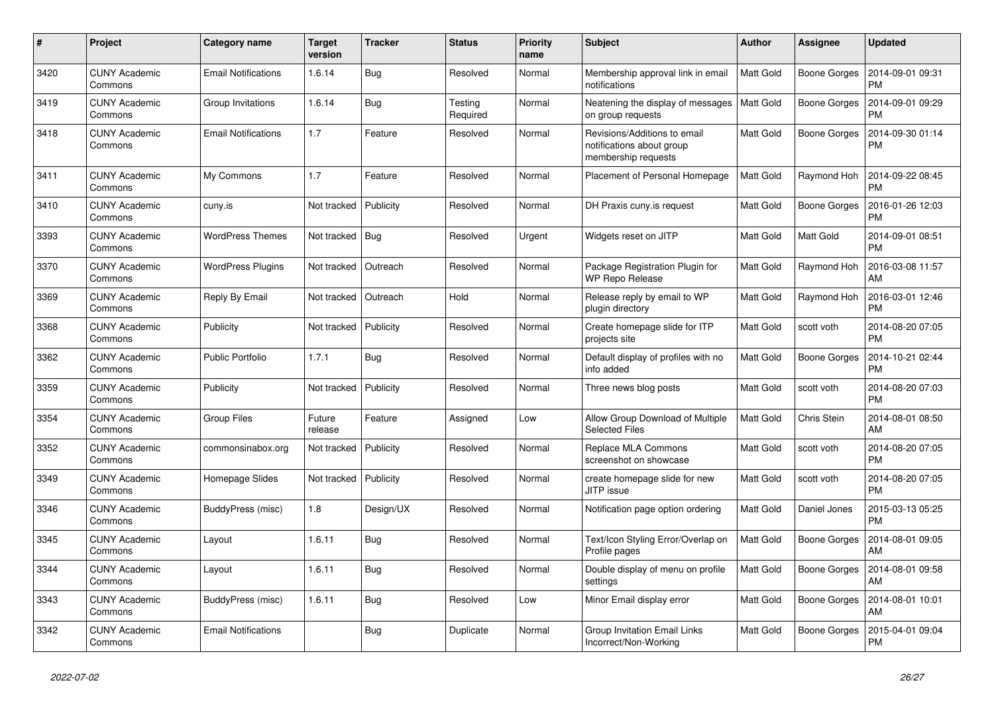| $\pmb{\#}$ | Project                         | Category name              | <b>Target</b><br>version | <b>Tracker</b> | <b>Status</b>       | <b>Priority</b><br>name | <b>Subject</b>                                                                   | <b>Author</b>    | Assignee            | <b>Updated</b>                |
|------------|---------------------------------|----------------------------|--------------------------|----------------|---------------------|-------------------------|----------------------------------------------------------------------------------|------------------|---------------------|-------------------------------|
| 3420       | <b>CUNY Academic</b><br>Commons | <b>Email Notifications</b> | 1.6.14                   | Bug            | Resolved            | Normal                  | Membership approval link in email<br>notifications                               | <b>Matt Gold</b> | <b>Boone Gorges</b> | 2014-09-01 09:31<br><b>PM</b> |
| 3419       | <b>CUNY Academic</b><br>Commons | Group Invitations          | 1.6.14                   | <b>Bug</b>     | Testing<br>Required | Normal                  | Neatening the display of messages<br>on group requests                           | <b>Matt Gold</b> | <b>Boone Gorges</b> | 2014-09-01 09:29<br><b>PM</b> |
| 3418       | <b>CUNY Academic</b><br>Commons | <b>Email Notifications</b> | 1.7                      | Feature        | Resolved            | Normal                  | Revisions/Additions to email<br>notifications about group<br>membership requests | Matt Gold        | Boone Gorges        | 2014-09-30 01:14<br><b>PM</b> |
| 3411       | <b>CUNY Academic</b><br>Commons | My Commons                 | 1.7                      | Feature        | Resolved            | Normal                  | Placement of Personal Homepage                                                   | <b>Matt Gold</b> | Raymond Hoh         | 2014-09-22 08:45<br><b>PM</b> |
| 3410       | <b>CUNY Academic</b><br>Commons | cuny.is                    | Not tracked              | Publicity      | Resolved            | Normal                  | DH Praxis cuny is request                                                        | <b>Matt Gold</b> | Boone Gorges        | 2016-01-26 12:03<br><b>PM</b> |
| 3393       | CUNY Academic<br>Commons        | <b>WordPress Themes</b>    | Not tracked              | Bug            | Resolved            | Urgent                  | Widgets reset on JITP                                                            | Matt Gold        | Matt Gold           | 2014-09-01 08:51<br><b>PM</b> |
| 3370       | <b>CUNY Academic</b><br>Commons | <b>WordPress Plugins</b>   | Not tracked              | Outreach       | Resolved            | Normal                  | Package Registration Plugin for<br><b>WP Repo Release</b>                        | <b>Matt Gold</b> | Raymond Hoh         | 2016-03-08 11:57<br>AM        |
| 3369       | <b>CUNY Academic</b><br>Commons | Reply By Email             | Not tracked              | Outreach       | Hold                | Normal                  | Release reply by email to WP<br>plugin directory                                 | Matt Gold        | Raymond Hoh         | 2016-03-01 12:46<br><b>PM</b> |
| 3368       | <b>CUNY Academic</b><br>Commons | Publicity                  | Not tracked              | Publicity      | Resolved            | Normal                  | Create homepage slide for ITP<br>projects site                                   | Matt Gold        | scott voth          | 2014-08-20 07:05<br><b>PM</b> |
| 3362       | <b>CUNY Academic</b><br>Commons | <b>Public Portfolio</b>    | 1.7.1                    | <b>Bug</b>     | Resolved            | Normal                  | Default display of profiles with no<br>info added                                | <b>Matt Gold</b> | <b>Boone Gorges</b> | 2014-10-21 02:44<br><b>PM</b> |
| 3359       | <b>CUNY Academic</b><br>Commons | Publicity                  | Not tracked              | Publicity      | Resolved            | Normal                  | Three news blog posts                                                            | <b>Matt Gold</b> | scott voth          | 2014-08-20 07:03<br><b>PM</b> |
| 3354       | <b>CUNY Academic</b><br>Commons | <b>Group Files</b>         | Future<br>release        | Feature        | Assigned            | Low                     | Allow Group Download of Multiple<br><b>Selected Files</b>                        | <b>Matt Gold</b> | Chris Stein         | 2014-08-01 08:50<br>AM        |
| 3352       | <b>CUNY Academic</b><br>Commons | commonsinabox.org          | Not tracked              | Publicity      | Resolved            | Normal                  | Replace MLA Commons<br>screenshot on showcase                                    | Matt Gold        | scott voth          | 2014-08-20 07:05<br><b>PM</b> |
| 3349       | <b>CUNY Academic</b><br>Commons | Homepage Slides            | Not tracked              | Publicity      | Resolved            | Normal                  | create homepage slide for new<br>JITP issue                                      | <b>Matt Gold</b> | scott voth          | 2014-08-20 07:05<br><b>PM</b> |
| 3346       | <b>CUNY Academic</b><br>Commons | BuddyPress (misc)          | 1.8                      | Design/UX      | Resolved            | Normal                  | Notification page option ordering                                                | Matt Gold        | Daniel Jones        | 2015-03-13 05:25<br><b>PM</b> |
| 3345       | <b>CUNY Academic</b><br>Commons | Layout                     | 1.6.11                   | <b>Bug</b>     | Resolved            | Normal                  | Text/Icon Styling Error/Overlap on<br>Profile pages                              | Matt Gold        | <b>Boone Gorges</b> | 2014-08-01 09:05<br>AM        |
| 3344       | <b>CUNY Academic</b><br>Commons | Layout                     | 1.6.11                   | Bug            | Resolved            | Normal                  | Double display of menu on profile<br>settings                                    | <b>Matt Gold</b> | Boone Gorges        | 2014-08-01 09:58<br>AM        |
| 3343       | <b>CUNY Academic</b><br>Commons | BuddyPress (misc)          | 1.6.11                   | Bug            | Resolved            | Low                     | Minor Email display error                                                        | <b>Matt Gold</b> | Boone Gorges        | 2014-08-01 10:01<br>AM        |
| 3342       | <b>CUNY Academic</b><br>Commons | <b>Email Notifications</b> |                          | <b>Bug</b>     | Duplicate           | Normal                  | Group Invitation Email Links<br>Incorrect/Non-Working                            | Matt Gold        | <b>Boone Gorges</b> | 2015-04-01 09:04<br><b>PM</b> |